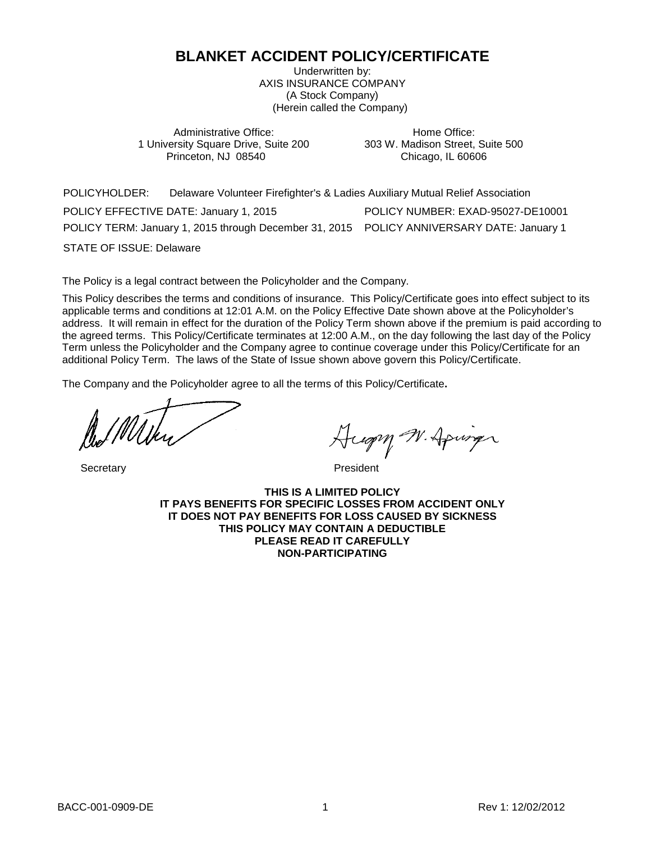## **BLANKET ACCIDENT POLICY/CERTIFICATE**

Underwritten by: AXIS INSURANCE COMPANY (A Stock Company) (Herein called the Company)

Administrative Office: 1 University Square Drive, Suite 200 Princeton, NJ 08540

Home Office: 303 W. Madison Street, Suite 500 Chicago, IL 60606

POLICYHOLDER: Delaware Volunteer Firefighter's & Ladies Auxiliary Mutual Relief Association POLICY EFFECTIVE DATE: January 1, 2015 POLICY NUMBER: EXAD-95027-DE10001 POLICY TERM: January 1, 2015 through December 31, 2015 POLICY ANNIVERSARY DATE: January 1

STATE OF ISSUE: Delaware

The Policy is a legal contract between the Policyholder and the Company.

This Policy describes the terms and conditions of insurance. This Policy/Certificate goes into effect subject to its applicable terms and conditions at 12:01 A.M. on the Policy Effective Date shown above at the Policyholder's address. It will remain in effect for the duration of the Policy Term shown above if the premium is paid according to the agreed terms. This Policy/Certificate terminates at 12:00 A.M., on the day following the last day of the Policy Term unless the Policyholder and the Company agree to continue coverage under this Policy/Certificate for an additional Policy Term. The laws of the State of Issue shown above govern this Policy/Certificate.

The Company and the Policyholder agree to all the terms of this Policy/Certificate**.**

Augen W. Aprings

Secretary **President** 

**THIS IS A LIMITED POLICY IT PAYS BENEFITS FOR SPECIFIC LOSSES FROM ACCIDENT ONLY IT DOES NOT PAY BENEFITS FOR LOSS CAUSED BY SICKNESS THIS POLICY MAY CONTAIN A DEDUCTIBLE PLEASE READ IT CAREFULLY NON-PARTICIPATING**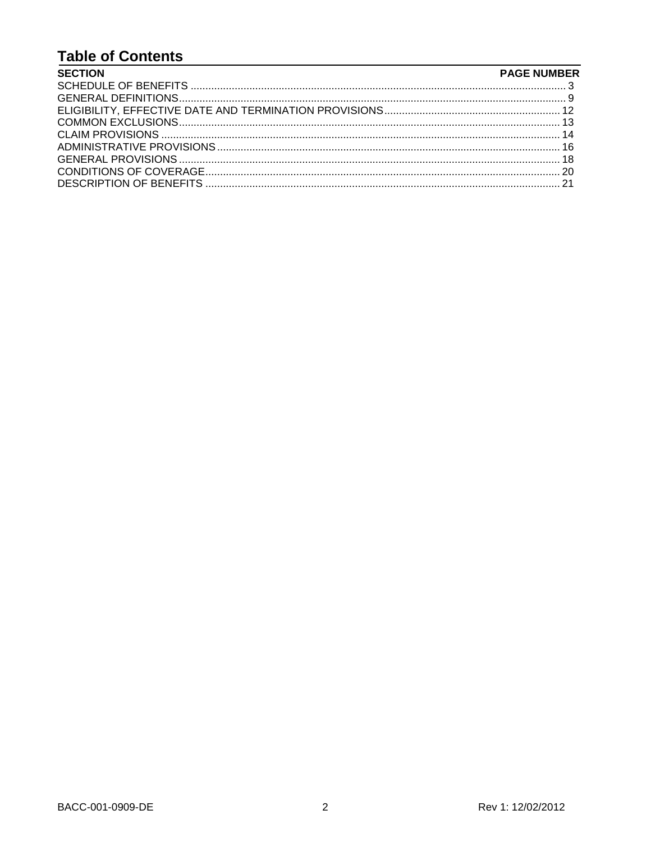## **Table of Contents**

| <b>SECTION</b> | <b>PAGE NUMBER</b> |
|----------------|--------------------|
|                |                    |
|                |                    |
|                |                    |
|                |                    |
|                |                    |
|                |                    |
|                |                    |
|                |                    |
|                |                    |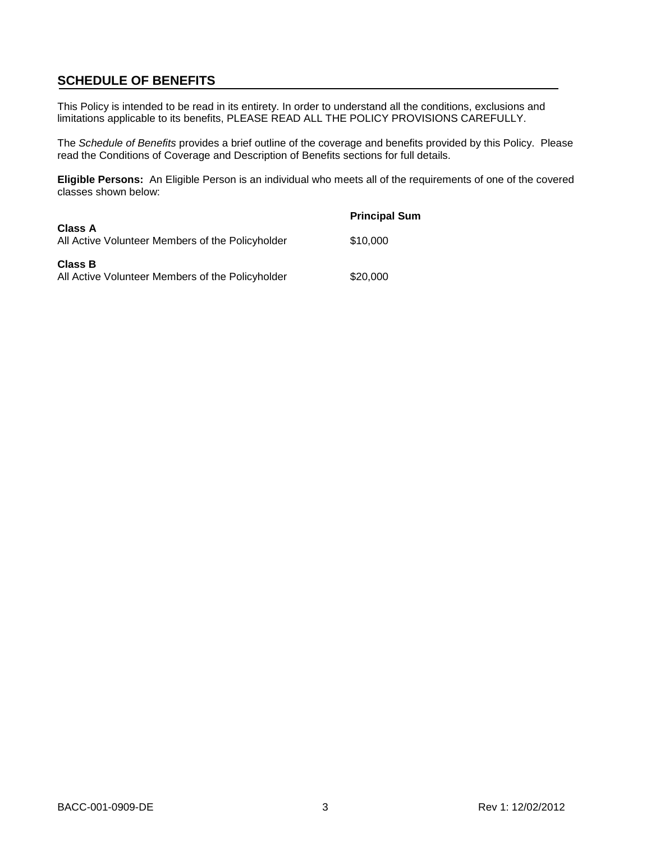### **SCHEDULE OF BENEFITS**

This Policy is intended to be read in its entirety. In order to understand all the conditions, exclusions and limitations applicable to its benefits, PLEASE READ ALL THE POLICY PROVISIONS CAREFULLY.

The *Schedule of Benefits* provides a brief outline of the coverage and benefits provided by this Policy. Please read the Conditions of Coverage and Description of Benefits sections for full details.

**Eligible Persons:** An Eligible Person is an individual who meets all of the requirements of one of the covered classes shown below:

|                                                                    | <b>Principal Sum</b> |
|--------------------------------------------------------------------|----------------------|
| <b>Class A</b><br>All Active Volunteer Members of the Policyholder | \$10,000             |
| <b>Class B</b><br>All Active Volunteer Members of the Policyholder | \$20,000             |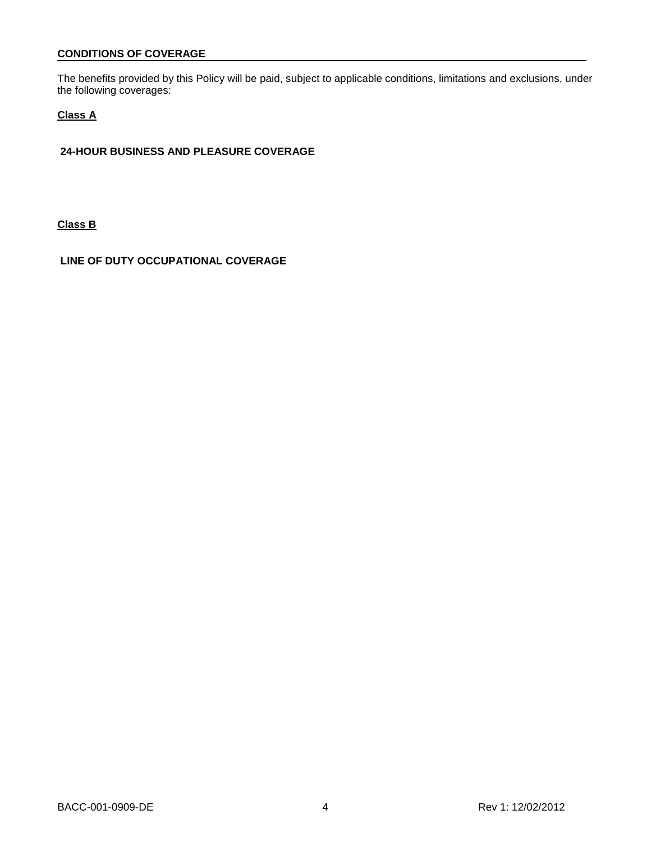### **CONDITIONS OF COVERAGE**

The benefits provided by this Policy will be paid, subject to applicable conditions, limitations and exclusions, under the following coverages:

### **Class A**

**24-HOUR BUSINESS AND PLEASURE COVERAGE**

**Class B**

### **LINE OF DUTY OCCUPATIONAL COVERAGE**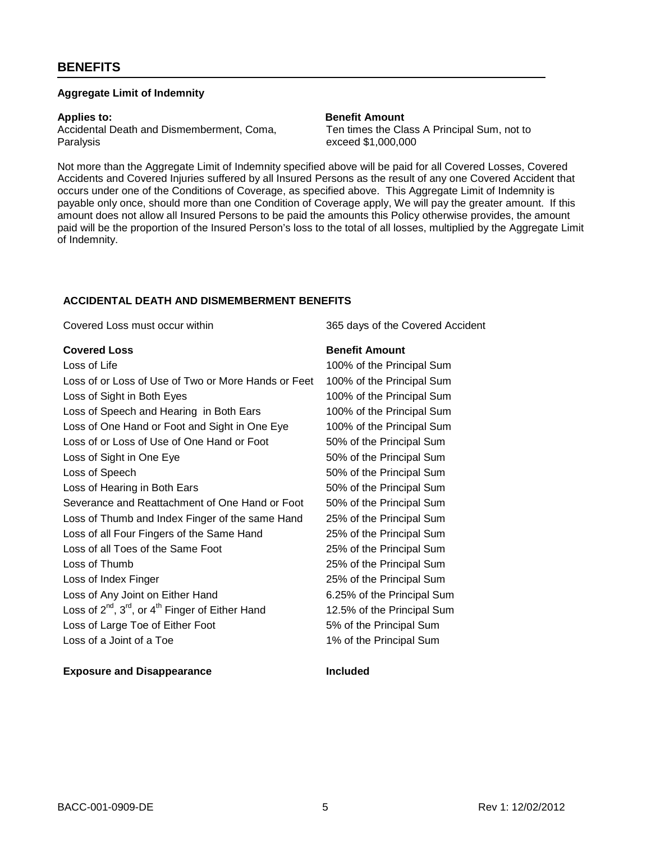### **Aggregate Limit of Indemnity**

Accidental Death and Dismemberment, Coma, Paralysis

#### **Applies to: Benefit Amount**

Ten times the Class A Principal Sum, not to exceed \$1,000,000

Not more than the Aggregate Limit of Indemnity specified above will be paid for all Covered Losses, Covered Accidents and Covered Injuries suffered by all Insured Persons as the result of any one Covered Accident that occurs under one of the Conditions of Coverage, as specified above. This Aggregate Limit of Indemnity is payable only once, should more than one Condition of Coverage apply, We will pay the greater amount. If this amount does not allow all Insured Persons to be paid the amounts this Policy otherwise provides, the amount paid will be the proportion of the Insured Person's loss to the total of all losses, multiplied by the Aggregate Limit of Indemnity.

### **ACCIDENTAL DEATH AND DISMEMBERMENT BENEFITS**

Covered Loss must occur within 365 days of the Covered Accident

### **Covered Loss Benefit Amount**

Loss of Life **100%** of the Principal Sum Loss of or Loss of Use of Two or More Hands or Feet 100% of the Principal Sum Loss of Sight in Both Eyes 100% of the Principal Sum Loss of Speech and Hearing in Both Ears 100% of the Principal Sum Loss of One Hand or Foot and Sight in One Eye 100% of the Principal Sum Loss of or Loss of Use of One Hand or Foot 50% of the Principal Sum Loss of Sight in One Eye 50% of the Principal Sum Loss of Speech 50% of the Principal Sum Loss of Hearing in Both Ears 60% of the Principal Sum Severance and Reattachment of One Hand or Foot 50% of the Principal Sum Loss of Thumb and Index Finger of the same Hand 25% of the Principal Sum Loss of all Four Fingers of the Same Hand Loss of all Toes of the Same Foot 25% of the Principal Sum 25% of the Principal Sum Loss of Thumb Loss of Index Finger Loss of Any Joint on Either Hand Loss of  $2^{nd}$ ,  $3^{rd}$ , or  $4^{th}$  Finger of Either Hand Loss of Large Toe of Either Foot Loss of a Joint of a Toe 25% of the Principal Sum 25% of the Principal Sum

### **Exposure and Disappearance Included**

6.25% of the Principal Sum 12.5% of the Principal Sum 5% of the Principal Sum 1% of the Principal Sum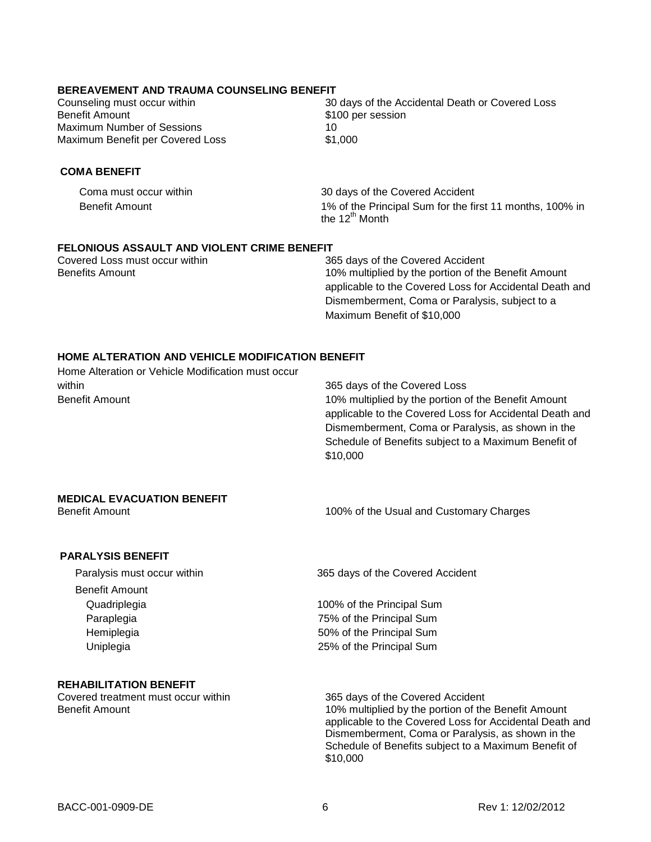### **BEREAVEMENT AND TRAUMA COUNSELING BENEFIT**

Benefit Amount **but a set of the session**  $$100$  per session Maximum Number of Sessions 10 Maximum Benefit per Covered Loss \$1,000

Counseling must occur within 30 days of the Accidental Death or Covered Loss

### **COMA BENEFIT**

Coma must occur within 30 days of the Covered Accident Benefit Amount 1% of the Principal Sum for the first 11 months, 100% in the  $12^{th}$  Month

### **FELONIOUS ASSAULT AND VIOLENT CRIME BENEFIT**

Covered Loss must occur within 365 days of the Covered Accident Benefits Amount 10% multiplied by the portion of the Benefit Amount applicable to the Covered Loss for Accidental Death and Dismemberment, Coma or Paralysis, subject to a Maximum Benefit of \$10,000

### **HOME ALTERATION AND VEHICLE MODIFICATION BENEFIT**

Home Alteration or Vehicle Modification must occur within **365 days of the Covered Loss 365** days of the Covered Loss Benefit Amount 10% multiplied by the portion of the Benefit Amount

applicable to the Covered Loss for Accidental Death and Dismemberment, Coma or Paralysis, as shown in the Schedule of Benefits subject to a Maximum Benefit of \$10,000

### **MEDICAL EVACUATION BENEFIT**

Benefit Amount 100% of the Usual and Customary Charges

### **PARALYSIS BENEFIT**

Benefit Amount

#### **REHABILITATION BENEFIT**

Covered treatment must occur within 365 days of the Covered Accident<br>Benefit Amount 365 days of the cortion of the

Paralysis must occur within 365 days of the Covered Accident

Quadriplegia 100% of the Principal Sum Paraplegia **Paraplegia** 75% of the Principal Sum Hemiplegia 50% of the Principal Sum Uniplegia 25% of the Principal Sum

> 10% multiplied by the portion of the Benefit Amount applicable to the Covered Loss for Accidental Death and Dismemberment, Coma or Paralysis, as shown in the Schedule of Benefits subject to a Maximum Benefit of \$10,000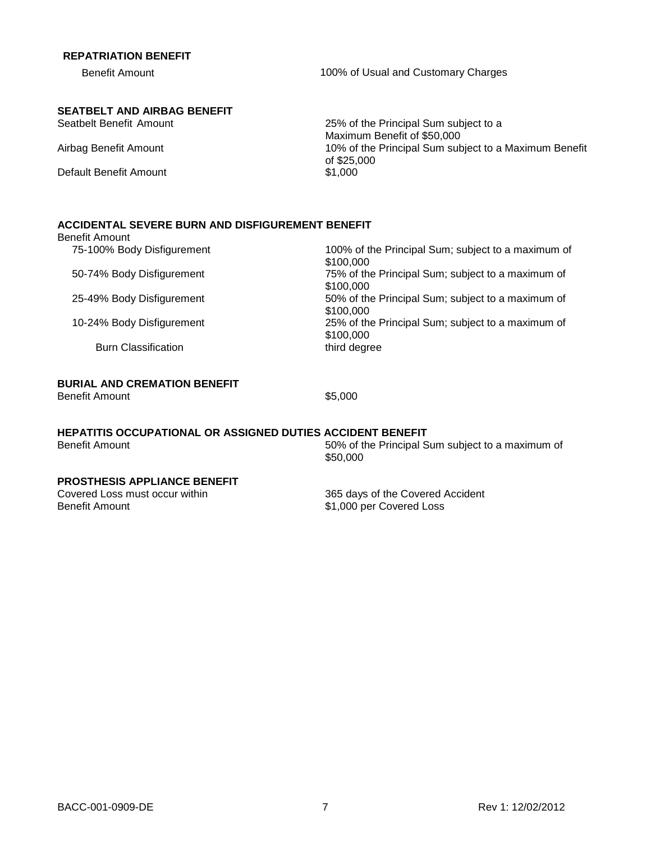### **REPATRIATION BENEFIT**

#### Benefit Amount 100% of Usual and Customary Charges

### **SEATBELT AND AIRBAG BENEFIT**

Default Benefit Amount \$1,000

Seatbelt Benefit Amount 25% of the Principal Sum subject to a Maximum Benefit of \$50,000 Airbag Benefit Amount 10% of the Principal Sum subject to a Maximum Benefit of \$25,000

### **ACCIDENTAL SEVERE BURN AND DISFIGUREMENT BENEFIT**

Benefit Amount

 75-100% Body Disfigurement 100% of the Principal Sum; subject to a maximum of \$100,000 50-74% Body Disfigurement 75% of the Principal Sum; subject to a maximum of \$100,000 25-49% Body Disfigurement 50% of the Principal Sum; subject to a maximum of \$100,000 10-24% Body Disfigurement 25% of the Principal Sum; subject to a maximum of \$100,000<br>third degree Burn Classification

### **BURIAL AND CREMATION BENEFIT**

Benefit Amount \$5,000

# **HEPATITIS OCCUPATIONAL OR ASSIGNED DUTIES ACCIDENT BENEFIT**

50% of the Principal Sum subject to a maximum of \$50,000

# **PROSTHESIS APPLIANCE BENEFIT**

Covered Loss must occur within 365 days of the Covered Accident<br>
Benefit Amount 365 days of the Covered Loss \$1,000 per Covered Loss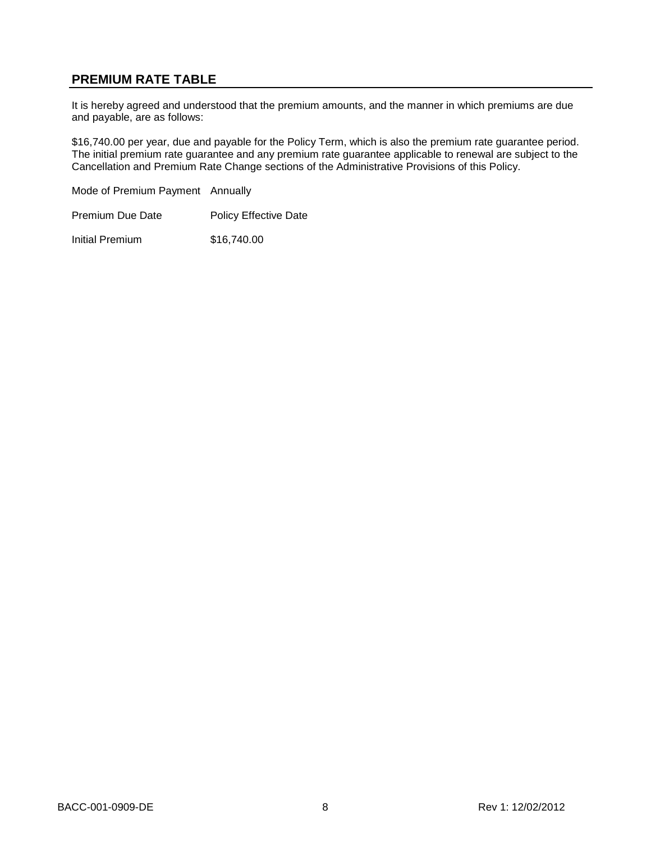### **PREMIUM RATE TABLE**

It is hereby agreed and understood that the premium amounts, and the manner in which premiums are due and payable, are as follows:

\$16,740.00 per year, due and payable for the Policy Term, which is also the premium rate guarantee period. The initial premium rate guarantee and any premium rate guarantee applicable to renewal are subject to the Cancellation and Premium Rate Change sections of the Administrative Provisions of this Policy.

Mode of Premium Payment Annually

Premium Due Date Policy Effective Date

Initial Premium \$16,740.00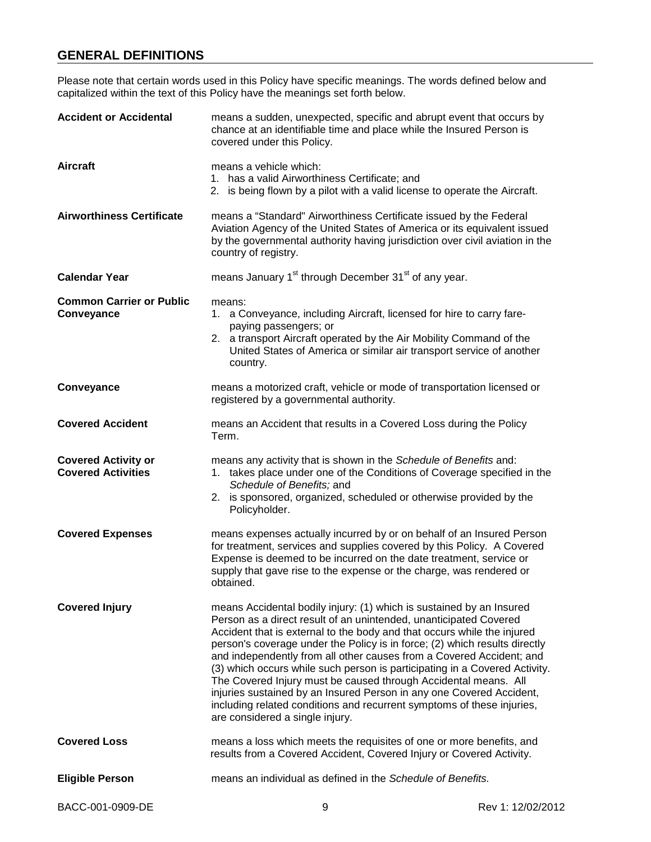### **GENERAL DEFINITIONS**

Please note that certain words used in this Policy have specific meanings. The words defined below and capitalized within the text of this Policy have the meanings set forth below.

| <b>Accident or Accidental</b>                           | means a sudden, unexpected, specific and abrupt event that occurs by<br>chance at an identifiable time and place while the Insured Person is<br>covered under this Policy.                                                                                                                                                                                                                                                                                                                                                                                                                                                                                                                                       |
|---------------------------------------------------------|------------------------------------------------------------------------------------------------------------------------------------------------------------------------------------------------------------------------------------------------------------------------------------------------------------------------------------------------------------------------------------------------------------------------------------------------------------------------------------------------------------------------------------------------------------------------------------------------------------------------------------------------------------------------------------------------------------------|
| Aircraft                                                | means a vehicle which:<br>1. has a valid Airworthiness Certificate; and<br>2. is being flown by a pilot with a valid license to operate the Aircraft.                                                                                                                                                                                                                                                                                                                                                                                                                                                                                                                                                            |
| <b>Airworthiness Certificate</b>                        | means a "Standard" Airworthiness Certificate issued by the Federal<br>Aviation Agency of the United States of America or its equivalent issued<br>by the governmental authority having jurisdiction over civil aviation in the<br>country of registry.                                                                                                                                                                                                                                                                                                                                                                                                                                                           |
| <b>Calendar Year</b>                                    | means January 1 <sup>st</sup> through December 31 <sup>st</sup> of any year.                                                                                                                                                                                                                                                                                                                                                                                                                                                                                                                                                                                                                                     |
| <b>Common Carrier or Public</b><br>Conveyance           | means:<br>1. a Conveyance, including Aircraft, licensed for hire to carry fare-<br>paying passengers; or<br>a transport Aircraft operated by the Air Mobility Command of the<br>2.<br>United States of America or similar air transport service of another<br>country.                                                                                                                                                                                                                                                                                                                                                                                                                                           |
| Conveyance                                              | means a motorized craft, vehicle or mode of transportation licensed or<br>registered by a governmental authority.                                                                                                                                                                                                                                                                                                                                                                                                                                                                                                                                                                                                |
| <b>Covered Accident</b>                                 | means an Accident that results in a Covered Loss during the Policy<br>Term.                                                                                                                                                                                                                                                                                                                                                                                                                                                                                                                                                                                                                                      |
| <b>Covered Activity or</b><br><b>Covered Activities</b> | means any activity that is shown in the Schedule of Benefits and:<br>1. takes place under one of the Conditions of Coverage specified in the<br>Schedule of Benefits; and<br>2. is sponsored, organized, scheduled or otherwise provided by the<br>Policyholder.                                                                                                                                                                                                                                                                                                                                                                                                                                                 |
| <b>Covered Expenses</b>                                 | means expenses actually incurred by or on behalf of an Insured Person<br>for treatment, services and supplies covered by this Policy. A Covered<br>Expense is deemed to be incurred on the date treatment, service or<br>supply that gave rise to the expense or the charge, was rendered or<br>obtained.                                                                                                                                                                                                                                                                                                                                                                                                        |
| <b>Covered Injury</b>                                   | means Accidental bodily injury: (1) which is sustained by an Insured<br>Person as a direct result of an unintended, unanticipated Covered<br>Accident that is external to the body and that occurs while the injured<br>person's coverage under the Policy is in force; (2) which results directly<br>and independently from all other causes from a Covered Accident; and<br>(3) which occurs while such person is participating in a Covered Activity.<br>The Covered Injury must be caused through Accidental means. All<br>injuries sustained by an Insured Person in any one Covered Accident,<br>including related conditions and recurrent symptoms of these injuries,<br>are considered a single injury. |
| <b>Covered Loss</b>                                     | means a loss which meets the requisites of one or more benefits, and<br>results from a Covered Accident, Covered Injury or Covered Activity.                                                                                                                                                                                                                                                                                                                                                                                                                                                                                                                                                                     |
| <b>Eligible Person</b>                                  | means an individual as defined in the Schedule of Benefits.                                                                                                                                                                                                                                                                                                                                                                                                                                                                                                                                                                                                                                                      |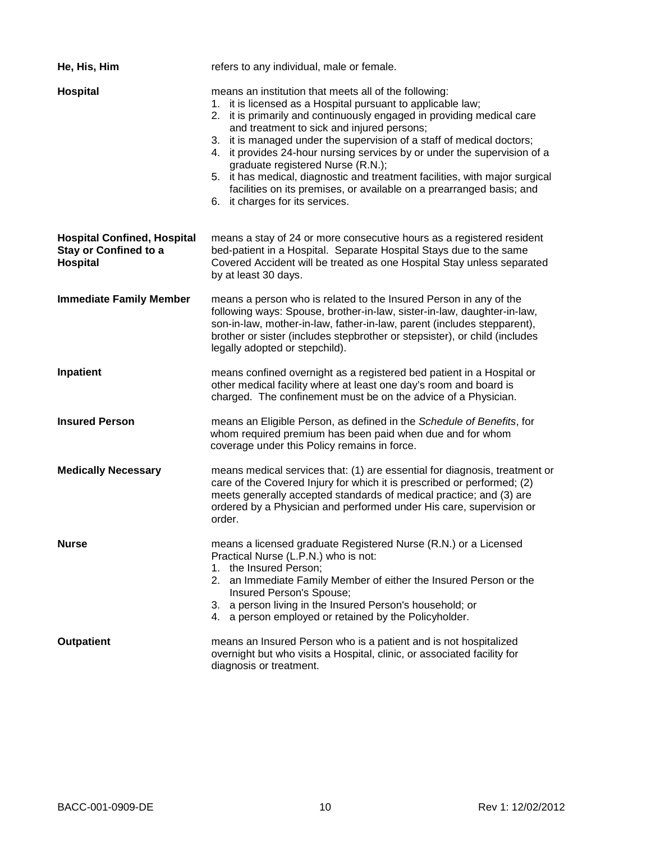| He, His, Him                                                                   | refers to any individual, male or female.                                                                                                                                                                                                                                                                                                                                                                                                                                                                                                                                                                                                   |
|--------------------------------------------------------------------------------|---------------------------------------------------------------------------------------------------------------------------------------------------------------------------------------------------------------------------------------------------------------------------------------------------------------------------------------------------------------------------------------------------------------------------------------------------------------------------------------------------------------------------------------------------------------------------------------------------------------------------------------------|
| Hospital                                                                       | means an institution that meets all of the following:<br>it is licensed as a Hospital pursuant to applicable law;<br>1.<br>it is primarily and continuously engaged in providing medical care<br>2.<br>and treatment to sick and injured persons;<br>3. it is managed under the supervision of a staff of medical doctors;<br>it provides 24-hour nursing services by or under the supervision of a<br>4.<br>graduate registered Nurse (R.N.);<br>5. it has medical, diagnostic and treatment facilities, with major surgical<br>facilities on its premises, or available on a prearranged basis; and<br>it charges for its services.<br>6. |
| <b>Hospital Confined, Hospital</b><br><b>Stay or Confined to a</b><br>Hospital | means a stay of 24 or more consecutive hours as a registered resident<br>bed-patient in a Hospital. Separate Hospital Stays due to the same<br>Covered Accident will be treated as one Hospital Stay unless separated<br>by at least 30 days.                                                                                                                                                                                                                                                                                                                                                                                               |
| <b>Immediate Family Member</b>                                                 | means a person who is related to the Insured Person in any of the<br>following ways: Spouse, brother-in-law, sister-in-law, daughter-in-law,<br>son-in-law, mother-in-law, father-in-law, parent (includes stepparent),<br>brother or sister (includes stepbrother or stepsister), or child (includes<br>legally adopted or stepchild).                                                                                                                                                                                                                                                                                                     |
| Inpatient                                                                      | means confined overnight as a registered bed patient in a Hospital or<br>other medical facility where at least one day's room and board is<br>charged. The confinement must be on the advice of a Physician.                                                                                                                                                                                                                                                                                                                                                                                                                                |
| <b>Insured Person</b>                                                          | means an Eligible Person, as defined in the Schedule of Benefits, for<br>whom required premium has been paid when due and for whom<br>coverage under this Policy remains in force.                                                                                                                                                                                                                                                                                                                                                                                                                                                          |
| <b>Medically Necessary</b>                                                     | means medical services that: (1) are essential for diagnosis, treatment or<br>care of the Covered Injury for which it is prescribed or performed; (2)<br>meets generally accepted standards of medical practice; and (3) are<br>ordered by a Physician and performed under His care, supervision or<br>order.                                                                                                                                                                                                                                                                                                                               |
| <b>Nurse</b>                                                                   | means a licensed graduate Registered Nurse (R.N.) or a Licensed<br>Practical Nurse (L.P.N.) who is not:<br>1. the Insured Person;<br>2. an Immediate Family Member of either the Insured Person or the<br>Insured Person's Spouse;<br>3. a person living in the Insured Person's household; or<br>4. a person employed or retained by the Policyholder.                                                                                                                                                                                                                                                                                     |
| <b>Outpatient</b>                                                              | means an Insured Person who is a patient and is not hospitalized<br>overnight but who visits a Hospital, clinic, or associated facility for<br>diagnosis or treatment.                                                                                                                                                                                                                                                                                                                                                                                                                                                                      |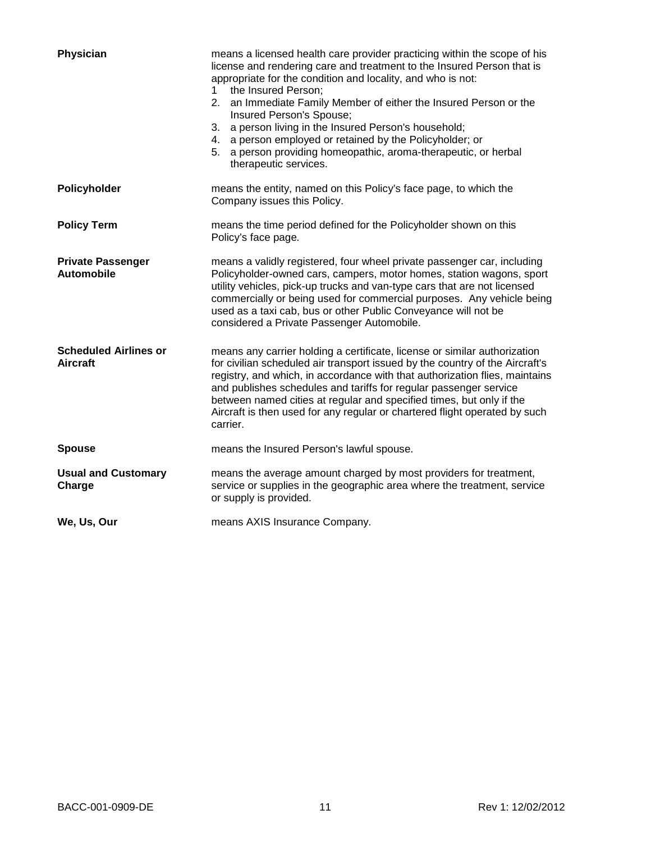| Physician                                       | means a licensed health care provider practicing within the scope of his<br>license and rendering care and treatment to the Insured Person that is<br>appropriate for the condition and locality, and who is not:<br>the Insured Person;<br>1.<br>2. an Immediate Family Member of either the Insured Person or the<br>Insured Person's Spouse;<br>3. a person living in the Insured Person's household;<br>4. a person employed or retained by the Policyholder; or<br>5. a person providing homeopathic, aroma-therapeutic, or herbal<br>therapeutic services. |
|-------------------------------------------------|------------------------------------------------------------------------------------------------------------------------------------------------------------------------------------------------------------------------------------------------------------------------------------------------------------------------------------------------------------------------------------------------------------------------------------------------------------------------------------------------------------------------------------------------------------------|
| Policyholder                                    | means the entity, named on this Policy's face page, to which the<br>Company issues this Policy.                                                                                                                                                                                                                                                                                                                                                                                                                                                                  |
| <b>Policy Term</b>                              | means the time period defined for the Policyholder shown on this<br>Policy's face page.                                                                                                                                                                                                                                                                                                                                                                                                                                                                          |
| <b>Private Passenger</b><br><b>Automobile</b>   | means a validly registered, four wheel private passenger car, including<br>Policyholder-owned cars, campers, motor homes, station wagons, sport<br>utility vehicles, pick-up trucks and van-type cars that are not licensed<br>commercially or being used for commercial purposes. Any vehicle being<br>used as a taxi cab, bus or other Public Conveyance will not be<br>considered a Private Passenger Automobile.                                                                                                                                             |
| <b>Scheduled Airlines or</b><br><b>Aircraft</b> | means any carrier holding a certificate, license or similar authorization<br>for civilian scheduled air transport issued by the country of the Aircraft's<br>registry, and which, in accordance with that authorization flies, maintains<br>and publishes schedules and tariffs for regular passenger service<br>between named cities at regular and specified times, but only if the<br>Aircraft is then used for any regular or chartered flight operated by such<br>carrier.                                                                                  |
| <b>Spouse</b>                                   | means the Insured Person's lawful spouse.                                                                                                                                                                                                                                                                                                                                                                                                                                                                                                                        |
| <b>Usual and Customary</b><br>Charge            | means the average amount charged by most providers for treatment,<br>service or supplies in the geographic area where the treatment, service<br>or supply is provided.                                                                                                                                                                                                                                                                                                                                                                                           |
| We, Us, Our                                     | means AXIS Insurance Company.                                                                                                                                                                                                                                                                                                                                                                                                                                                                                                                                    |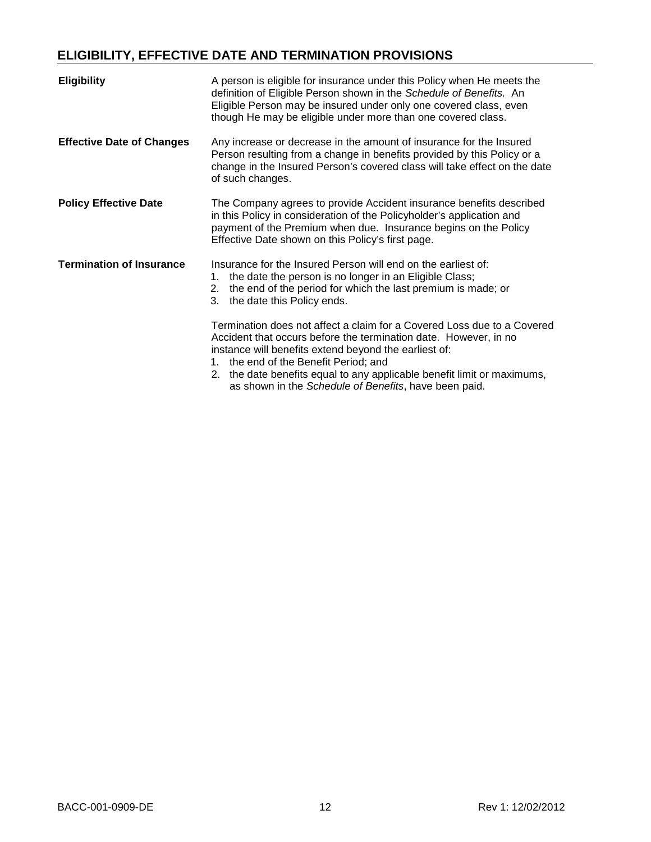## **ELIGIBILITY, EFFECTIVE DATE AND TERMINATION PROVISIONS**

| <b>Eligibility</b>               | A person is eligible for insurance under this Policy when He meets the<br>definition of Eligible Person shown in the Schedule of Benefits. An<br>Eligible Person may be insured under only one covered class, even<br>though He may be eligible under more than one covered class.                                                                                                |
|----------------------------------|-----------------------------------------------------------------------------------------------------------------------------------------------------------------------------------------------------------------------------------------------------------------------------------------------------------------------------------------------------------------------------------|
| <b>Effective Date of Changes</b> | Any increase or decrease in the amount of insurance for the Insured<br>Person resulting from a change in benefits provided by this Policy or a<br>change in the Insured Person's covered class will take effect on the date<br>of such changes.                                                                                                                                   |
| <b>Policy Effective Date</b>     | The Company agrees to provide Accident insurance benefits described<br>in this Policy in consideration of the Policyholder's application and<br>payment of the Premium when due. Insurance begins on the Policy<br>Effective Date shown on this Policy's first page.                                                                                                              |
| <b>Termination of Insurance</b>  | Insurance for the Insured Person will end on the earliest of:<br>1. the date the person is no longer in an Eligible Class;<br>2. the end of the period for which the last premium is made; or<br>3. the date this Policy ends.                                                                                                                                                    |
|                                  | Termination does not affect a claim for a Covered Loss due to a Covered<br>Accident that occurs before the termination date. However, in no<br>instance will benefits extend beyond the earliest of:<br>1. the end of the Benefit Period; and<br>2. the date benefits equal to any applicable benefit limit or maximums,<br>as shown in the Schedule of Benefits, have been paid. |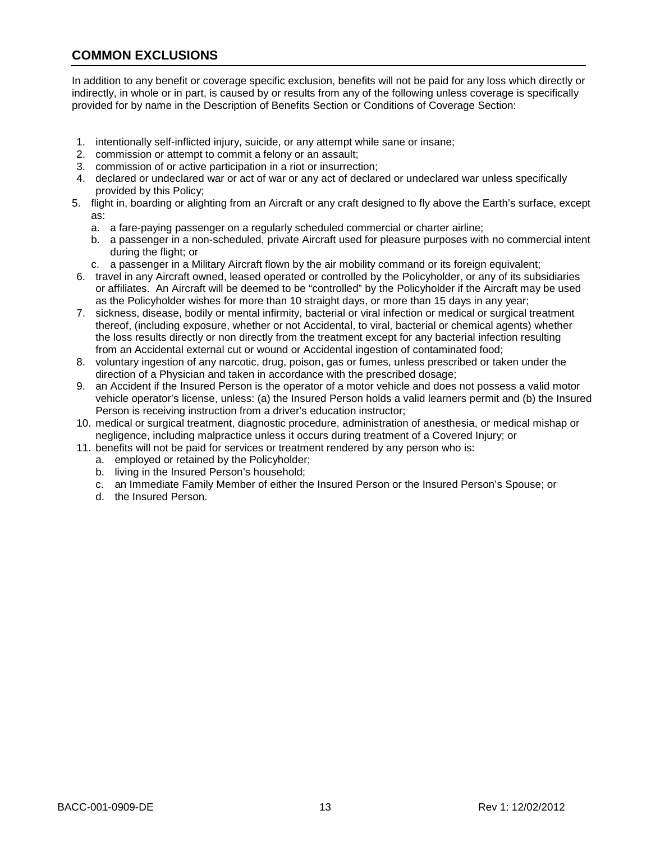### **COMMON EXCLUSIONS**

In addition to any benefit or coverage specific exclusion, benefits will not be paid for any loss which directly or indirectly, in whole or in part, is caused by or results from any of the following unless coverage is specifically provided for by name in the Description of Benefits Section or Conditions of Coverage Section:

- 1. intentionally self-inflicted injury, suicide, or any attempt while sane or insane;
- 2. commission or attempt to commit a felony or an assault;
- 3. commission of or active participation in a riot or insurrection;
- 4. declared or undeclared war or act of war or any act of declared or undeclared war unless specifically provided by this Policy;
- 5. flight in, boarding or alighting from an Aircraft or any craft designed to fly above the Earth's surface, except as:
	- a. a fare-paying passenger on a regularly scheduled commercial or charter airline;
	- b. a passenger in a non-scheduled, private Aircraft used for pleasure purposes with no commercial intent during the flight; or
	- c. a passenger in a Military Aircraft flown by the air mobility command or its foreign equivalent;
- 6. travel in any Aircraft owned, leased operated or controlled by the Policyholder, or any of its subsidiaries or affiliates. An Aircraft will be deemed to be "controlled" by the Policyholder if the Aircraft may be used as the Policyholder wishes for more than 10 straight days, or more than 15 days in any year;
- 7. sickness, disease, bodily or mental infirmity, bacterial or viral infection or medical or surgical treatment thereof, (including exposure, whether or not Accidental, to viral, bacterial or chemical agents) whether the loss results directly or non directly from the treatment except for any bacterial infection resulting from an Accidental external cut or wound or Accidental ingestion of contaminated food;
- 8. voluntary ingestion of any narcotic, drug, poison, gas or fumes, unless prescribed or taken under the direction of a Physician and taken in accordance with the prescribed dosage;
- 9. an Accident if the Insured Person is the operator of a motor vehicle and does not possess a valid motor vehicle operator's license, unless: (a) the Insured Person holds a valid learners permit and (b) the Insured Person is receiving instruction from a driver's education instructor;
- 10. medical or surgical treatment, diagnostic procedure, administration of anesthesia, or medical mishap or negligence, including malpractice unless it occurs during treatment of a Covered Injury; or
- 11. benefits will not be paid for services or treatment rendered by any person who is:
	- a. employed or retained by the Policyholder;
	- b. living in the Insured Person's household;
	- c. an Immediate Family Member of either the Insured Person or the Insured Person's Spouse; or
	- d. the Insured Person.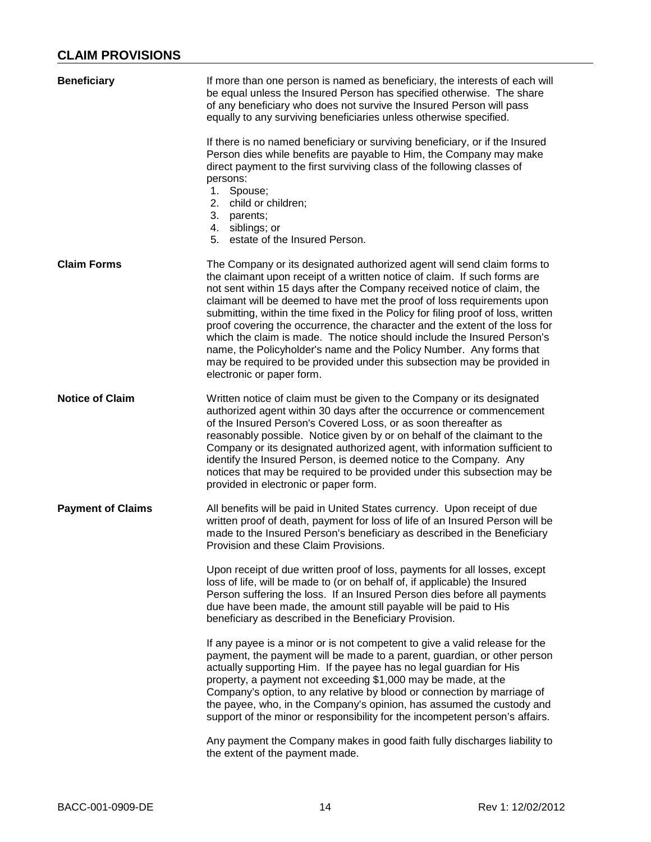| <b>Beneficiary</b>       | If more than one person is named as beneficiary, the interests of each will<br>be equal unless the Insured Person has specified otherwise. The share<br>of any beneficiary who does not survive the Insured Person will pass<br>equally to any surviving beneficiaries unless otherwise specified.                                                                                                                                                                                                                                                                                                                                                                                                                                       |
|--------------------------|------------------------------------------------------------------------------------------------------------------------------------------------------------------------------------------------------------------------------------------------------------------------------------------------------------------------------------------------------------------------------------------------------------------------------------------------------------------------------------------------------------------------------------------------------------------------------------------------------------------------------------------------------------------------------------------------------------------------------------------|
|                          | If there is no named beneficiary or surviving beneficiary, or if the Insured<br>Person dies while benefits are payable to Him, the Company may make<br>direct payment to the first surviving class of the following classes of<br>persons:<br>1. Spouse;<br>2. child or children;<br>3. parents;<br>4. siblings; or<br>5. estate of the Insured Person.                                                                                                                                                                                                                                                                                                                                                                                  |
| <b>Claim Forms</b>       | The Company or its designated authorized agent will send claim forms to<br>the claimant upon receipt of a written notice of claim. If such forms are<br>not sent within 15 days after the Company received notice of claim, the<br>claimant will be deemed to have met the proof of loss requirements upon<br>submitting, within the time fixed in the Policy for filing proof of loss, written<br>proof covering the occurrence, the character and the extent of the loss for<br>which the claim is made. The notice should include the Insured Person's<br>name, the Policyholder's name and the Policy Number. Any forms that<br>may be required to be provided under this subsection may be provided in<br>electronic or paper form. |
| <b>Notice of Claim</b>   | Written notice of claim must be given to the Company or its designated<br>authorized agent within 30 days after the occurrence or commencement<br>of the Insured Person's Covered Loss, or as soon thereafter as<br>reasonably possible. Notice given by or on behalf of the claimant to the<br>Company or its designated authorized agent, with information sufficient to<br>identify the Insured Person, is deemed notice to the Company. Any<br>notices that may be required to be provided under this subsection may be<br>provided in electronic or paper form.                                                                                                                                                                     |
| <b>Payment of Claims</b> | All benefits will be paid in United States currency. Upon receipt of due<br>written proof of death, payment for loss of life of an Insured Person will be<br>made to the Insured Person's beneficiary as described in the Beneficiary<br>Provision and these Claim Provisions.                                                                                                                                                                                                                                                                                                                                                                                                                                                           |
|                          | Upon receipt of due written proof of loss, payments for all losses, except<br>loss of life, will be made to (or on behalf of, if applicable) the Insured<br>Person suffering the loss. If an Insured Person dies before all payments<br>due have been made, the amount still payable will be paid to His<br>beneficiary as described in the Beneficiary Provision.                                                                                                                                                                                                                                                                                                                                                                       |
|                          | If any payee is a minor or is not competent to give a valid release for the<br>payment, the payment will be made to a parent, guardian, or other person<br>actually supporting Him. If the payee has no legal guardian for His<br>property, a payment not exceeding \$1,000 may be made, at the<br>Company's option, to any relative by blood or connection by marriage of<br>the payee, who, in the Company's opinion, has assumed the custody and<br>support of the minor or responsibility for the incompetent person's affairs.                                                                                                                                                                                                      |
|                          | Any payment the Company makes in good faith fully discharges liability to<br>the extent of the payment made.                                                                                                                                                                                                                                                                                                                                                                                                                                                                                                                                                                                                                             |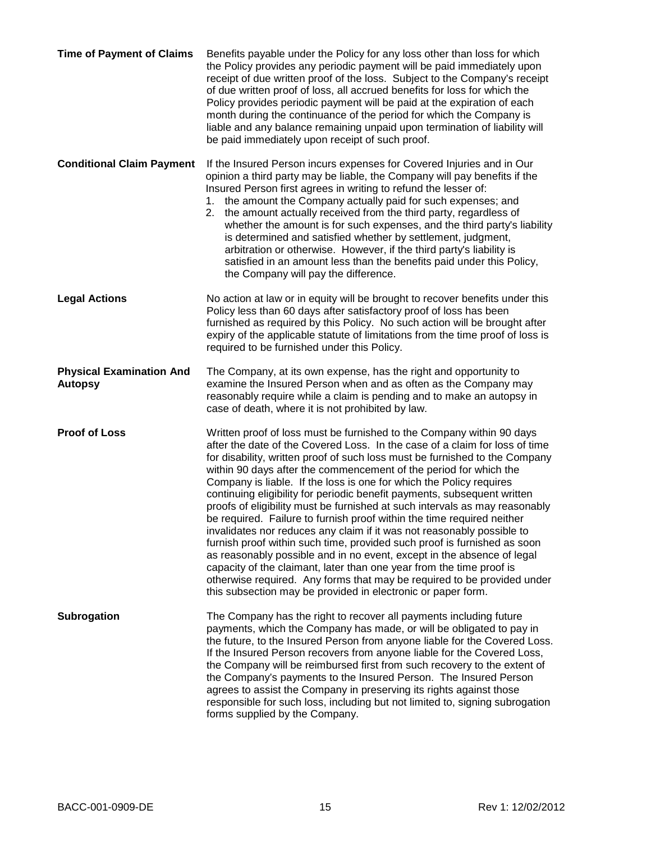| <b>Time of Payment of Claims</b>                  | Benefits payable under the Policy for any loss other than loss for which<br>the Policy provides any periodic payment will be paid immediately upon<br>receipt of due written proof of the loss. Subject to the Company's receipt<br>of due written proof of loss, all accrued benefits for loss for which the<br>Policy provides periodic payment will be paid at the expiration of each<br>month during the continuance of the period for which the Company is<br>liable and any balance remaining unpaid upon termination of liability will<br>be paid immediately upon receipt of such proof.                                                                                                                                                                                                                                                                                                                                                                                                                                                                        |
|---------------------------------------------------|-------------------------------------------------------------------------------------------------------------------------------------------------------------------------------------------------------------------------------------------------------------------------------------------------------------------------------------------------------------------------------------------------------------------------------------------------------------------------------------------------------------------------------------------------------------------------------------------------------------------------------------------------------------------------------------------------------------------------------------------------------------------------------------------------------------------------------------------------------------------------------------------------------------------------------------------------------------------------------------------------------------------------------------------------------------------------|
| <b>Conditional Claim Payment</b>                  | If the Insured Person incurs expenses for Covered Injuries and in Our<br>opinion a third party may be liable, the Company will pay benefits if the<br>Insured Person first agrees in writing to refund the lesser of:<br>1. the amount the Company actually paid for such expenses; and<br>2. the amount actually received from the third party, regardless of<br>whether the amount is for such expenses, and the third party's liability<br>is determined and satisfied whether by settlement, judgment,<br>arbitration or otherwise. However, if the third party's liability is<br>satisfied in an amount less than the benefits paid under this Policy,<br>the Company will pay the difference.                                                                                                                                                                                                                                                                                                                                                                     |
| <b>Legal Actions</b>                              | No action at law or in equity will be brought to recover benefits under this<br>Policy less than 60 days after satisfactory proof of loss has been<br>furnished as required by this Policy. No such action will be brought after<br>expiry of the applicable statute of limitations from the time proof of loss is<br>required to be furnished under this Policy.                                                                                                                                                                                                                                                                                                                                                                                                                                                                                                                                                                                                                                                                                                       |
| <b>Physical Examination And</b><br><b>Autopsy</b> | The Company, at its own expense, has the right and opportunity to<br>examine the Insured Person when and as often as the Company may<br>reasonably require while a claim is pending and to make an autopsy in<br>case of death, where it is not prohibited by law.                                                                                                                                                                                                                                                                                                                                                                                                                                                                                                                                                                                                                                                                                                                                                                                                      |
| <b>Proof of Loss</b>                              | Written proof of loss must be furnished to the Company within 90 days<br>after the date of the Covered Loss. In the case of a claim for loss of time<br>for disability, written proof of such loss must be furnished to the Company<br>within 90 days after the commencement of the period for which the<br>Company is liable. If the loss is one for which the Policy requires<br>continuing eligibility for periodic benefit payments, subsequent written<br>proofs of eligibility must be furnished at such intervals as may reasonably<br>be required. Failure to furnish proof within the time required neither<br>invalidates nor reduces any claim if it was not reasonably possible to<br>furnish proof within such time, provided such proof is furnished as soon<br>as reasonably possible and in no event, except in the absence of legal<br>capacity of the claimant, later than one year from the time proof is<br>otherwise required. Any forms that may be required to be provided under<br>this subsection may be provided in electronic or paper form. |
| Subrogation                                       | The Company has the right to recover all payments including future<br>payments, which the Company has made, or will be obligated to pay in<br>the future, to the Insured Person from anyone liable for the Covered Loss.<br>If the Insured Person recovers from anyone liable for the Covered Loss,<br>the Company will be reimbursed first from such recovery to the extent of<br>the Company's payments to the Insured Person. The Insured Person<br>agrees to assist the Company in preserving its rights against those<br>responsible for such loss, including but not limited to, signing subrogation<br>forms supplied by the Company.                                                                                                                                                                                                                                                                                                                                                                                                                            |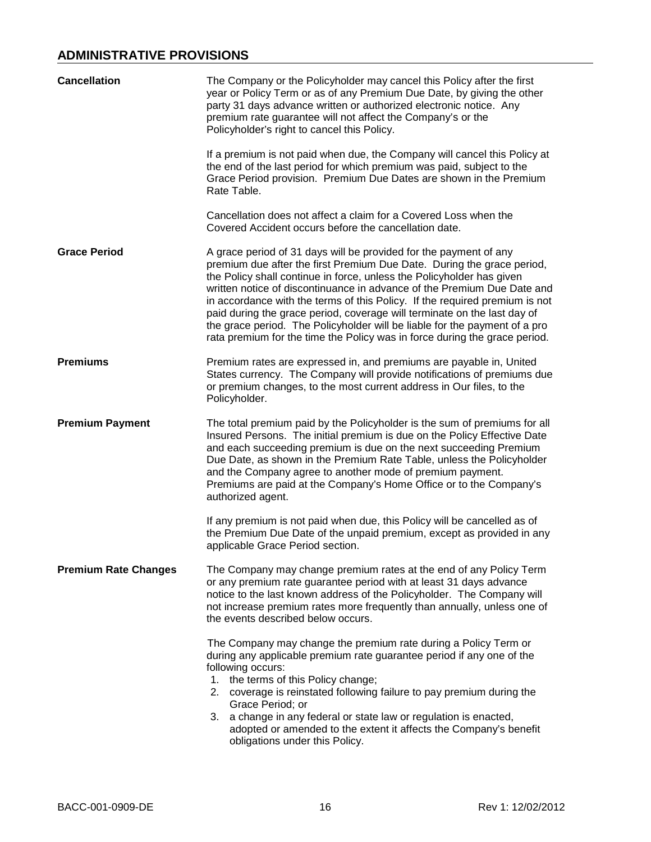### **ADMINISTRATIVE PROVISIONS**

| <b>Cancellation</b>         | The Company or the Policyholder may cancel this Policy after the first<br>year or Policy Term or as of any Premium Due Date, by giving the other<br>party 31 days advance written or authorized electronic notice. Any<br>premium rate guarantee will not affect the Company's or the<br>Policyholder's right to cancel this Policy.                                                                                                                                                                                                                                                                                   |
|-----------------------------|------------------------------------------------------------------------------------------------------------------------------------------------------------------------------------------------------------------------------------------------------------------------------------------------------------------------------------------------------------------------------------------------------------------------------------------------------------------------------------------------------------------------------------------------------------------------------------------------------------------------|
|                             | If a premium is not paid when due, the Company will cancel this Policy at<br>the end of the last period for which premium was paid, subject to the<br>Grace Period provision. Premium Due Dates are shown in the Premium<br>Rate Table.                                                                                                                                                                                                                                                                                                                                                                                |
|                             | Cancellation does not affect a claim for a Covered Loss when the<br>Covered Accident occurs before the cancellation date.                                                                                                                                                                                                                                                                                                                                                                                                                                                                                              |
| <b>Grace Period</b>         | A grace period of 31 days will be provided for the payment of any<br>premium due after the first Premium Due Date. During the grace period,<br>the Policy shall continue in force, unless the Policyholder has given<br>written notice of discontinuance in advance of the Premium Due Date and<br>in accordance with the terms of this Policy. If the required premium is not<br>paid during the grace period, coverage will terminate on the last day of<br>the grace period. The Policyholder will be liable for the payment of a pro<br>rata premium for the time the Policy was in force during the grace period. |
| <b>Premiums</b>             | Premium rates are expressed in, and premiums are payable in, United<br>States currency. The Company will provide notifications of premiums due<br>or premium changes, to the most current address in Our files, to the<br>Policyholder.                                                                                                                                                                                                                                                                                                                                                                                |
| <b>Premium Payment</b>      | The total premium paid by the Policyholder is the sum of premiums for all<br>Insured Persons. The initial premium is due on the Policy Effective Date<br>and each succeeding premium is due on the next succeeding Premium<br>Due Date, as shown in the Premium Rate Table, unless the Policyholder<br>and the Company agree to another mode of premium payment.<br>Premiums are paid at the Company's Home Office or to the Company's<br>authorized agent.                                                                                                                                                            |
|                             | If any premium is not paid when due, this Policy will be cancelled as of<br>the Premium Due Date of the unpaid premium, except as provided in any<br>applicable Grace Period section.                                                                                                                                                                                                                                                                                                                                                                                                                                  |
| <b>Premium Rate Changes</b> | The Company may change premium rates at the end of any Policy Term<br>or any premium rate guarantee period with at least 31 days advance<br>notice to the last known address of the Policyholder. The Company will<br>not increase premium rates more frequently than annually, unless one of<br>the events described below occurs.                                                                                                                                                                                                                                                                                    |
|                             | The Company may change the premium rate during a Policy Term or<br>during any applicable premium rate guarantee period if any one of the<br>following occurs:<br>1. the terms of this Policy change;<br>2. coverage is reinstated following failure to pay premium during the<br>Grace Period; or<br>a change in any federal or state law or regulation is enacted,<br>3.<br>adopted or amended to the extent it affects the Company's benefit<br>obligations under this Policy.                                                                                                                                       |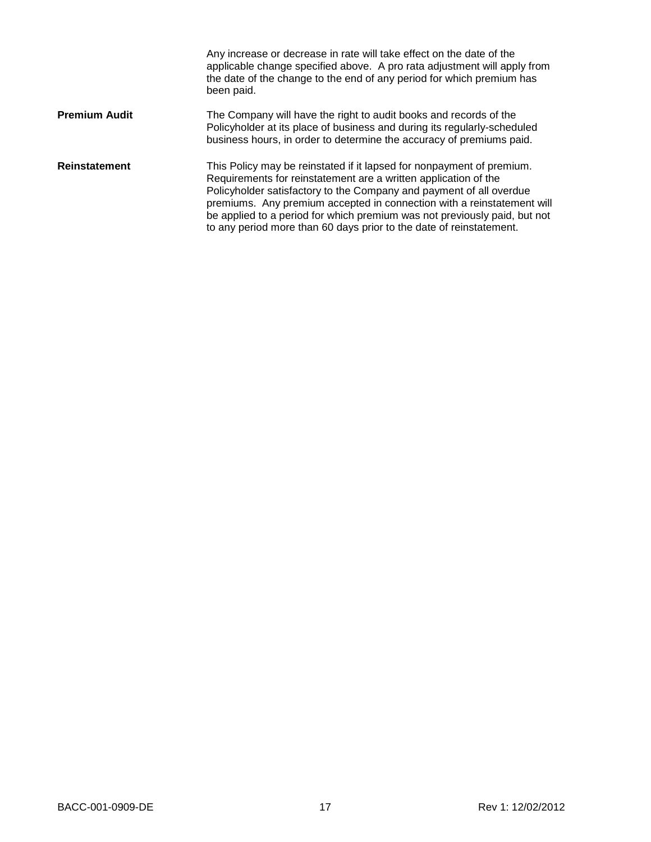|                      | Any increase or decrease in rate will take effect on the date of the<br>applicable change specified above. A pro rata adjustment will apply from<br>the date of the change to the end of any period for which premium has<br>been paid.                                                                                                                                                                                                       |
|----------------------|-----------------------------------------------------------------------------------------------------------------------------------------------------------------------------------------------------------------------------------------------------------------------------------------------------------------------------------------------------------------------------------------------------------------------------------------------|
| <b>Premium Audit</b> | The Company will have the right to audit books and records of the<br>Policyholder at its place of business and during its regularly-scheduled<br>business hours, in order to determine the accuracy of premiums paid.                                                                                                                                                                                                                         |
| <b>Reinstatement</b> | This Policy may be reinstated if it lapsed for nonpayment of premium.<br>Requirements for reinstatement are a written application of the<br>Policyholder satisfactory to the Company and payment of all overdue<br>premiums. Any premium accepted in connection with a reinstatement will<br>be applied to a period for which premium was not previously paid, but not<br>to any period more than 60 days prior to the date of reinstatement. |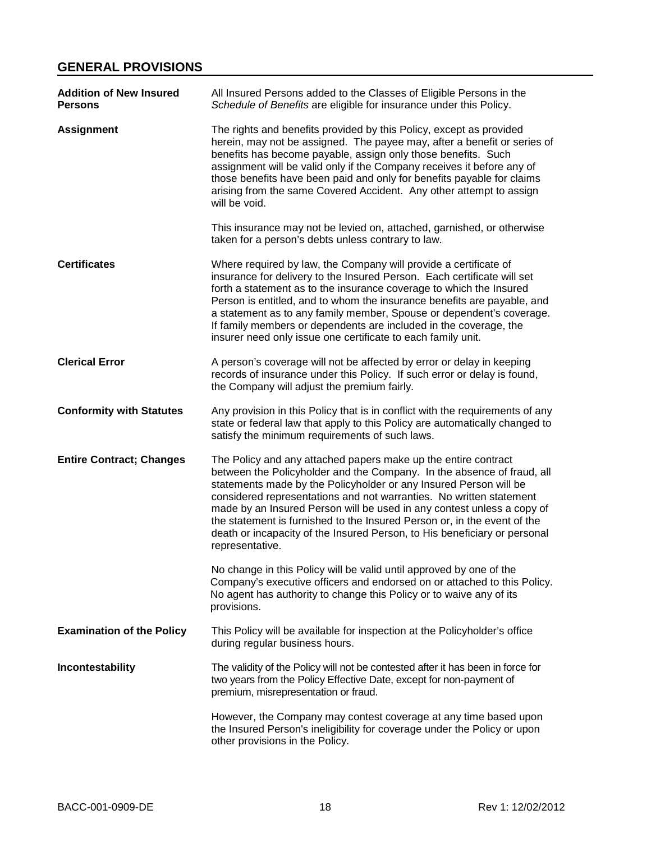### **GENERAL PROVISIONS**

| <b>Addition of New Insured</b><br><b>Persons</b> | All Insured Persons added to the Classes of Eligible Persons in the<br>Schedule of Benefits are eligible for insurance under this Policy.                                                                                                                                                                                                                                                                                                                                                                                                  |
|--------------------------------------------------|--------------------------------------------------------------------------------------------------------------------------------------------------------------------------------------------------------------------------------------------------------------------------------------------------------------------------------------------------------------------------------------------------------------------------------------------------------------------------------------------------------------------------------------------|
| <b>Assignment</b>                                | The rights and benefits provided by this Policy, except as provided<br>herein, may not be assigned. The payee may, after a benefit or series of<br>benefits has become payable, assign only those benefits. Such<br>assignment will be valid only if the Company receives it before any of<br>those benefits have been paid and only for benefits payable for claims<br>arising from the same Covered Accident. Any other attempt to assign<br>will be void.                                                                               |
|                                                  | This insurance may not be levied on, attached, garnished, or otherwise<br>taken for a person's debts unless contrary to law.                                                                                                                                                                                                                                                                                                                                                                                                               |
| <b>Certificates</b>                              | Where required by law, the Company will provide a certificate of<br>insurance for delivery to the Insured Person. Each certificate will set<br>forth a statement as to the insurance coverage to which the Insured<br>Person is entitled, and to whom the insurance benefits are payable, and<br>a statement as to any family member, Spouse or dependent's coverage.<br>If family members or dependents are included in the coverage, the<br>insurer need only issue one certificate to each family unit.                                 |
| <b>Clerical Error</b>                            | A person's coverage will not be affected by error or delay in keeping<br>records of insurance under this Policy. If such error or delay is found,<br>the Company will adjust the premium fairly.                                                                                                                                                                                                                                                                                                                                           |
| <b>Conformity with Statutes</b>                  | Any provision in this Policy that is in conflict with the requirements of any<br>state or federal law that apply to this Policy are automatically changed to<br>satisfy the minimum requirements of such laws.                                                                                                                                                                                                                                                                                                                             |
| <b>Entire Contract; Changes</b>                  | The Policy and any attached papers make up the entire contract<br>between the Policyholder and the Company. In the absence of fraud, all<br>statements made by the Policyholder or any Insured Person will be<br>considered representations and not warranties. No written statement<br>made by an Insured Person will be used in any contest unless a copy of<br>the statement is furnished to the Insured Person or, in the event of the<br>death or incapacity of the Insured Person, to His beneficiary or personal<br>representative. |
|                                                  | No change in this Policy will be valid until approved by one of the<br>Company's executive officers and endorsed on or attached to this Policy.<br>No agent has authority to change this Policy or to waive any of its<br>provisions.                                                                                                                                                                                                                                                                                                      |
| <b>Examination of the Policy</b>                 | This Policy will be available for inspection at the Policyholder's office<br>during regular business hours.                                                                                                                                                                                                                                                                                                                                                                                                                                |
| Incontestability                                 | The validity of the Policy will not be contested after it has been in force for<br>two years from the Policy Effective Date, except for non-payment of<br>premium, misrepresentation or fraud.                                                                                                                                                                                                                                                                                                                                             |
|                                                  | However, the Company may contest coverage at any time based upon<br>the Insured Person's ineligibility for coverage under the Policy or upon<br>other provisions in the Policy.                                                                                                                                                                                                                                                                                                                                                            |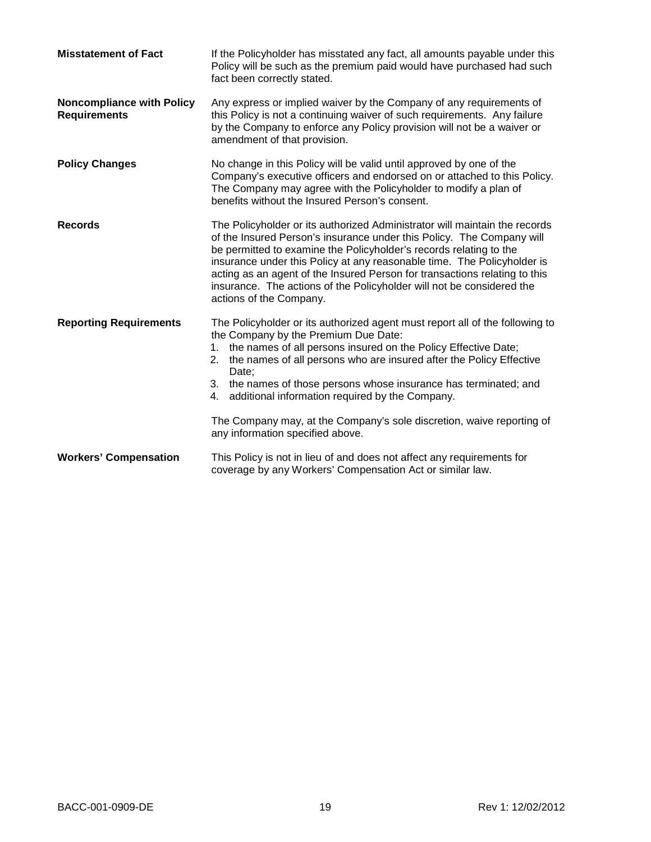| <b>Misstatement of Fact</b>                             | If the Policyholder has misstated any fact, all amounts payable under this<br>Policy will be such as the premium paid would have purchased had such<br>fact been correctly stated.                                                                                                                                                                                                                                                                                                                                   |
|---------------------------------------------------------|----------------------------------------------------------------------------------------------------------------------------------------------------------------------------------------------------------------------------------------------------------------------------------------------------------------------------------------------------------------------------------------------------------------------------------------------------------------------------------------------------------------------|
| <b>Noncompliance with Policy</b><br><b>Requirements</b> | Any express or implied waiver by the Company of any requirements of<br>this Policy is not a continuing waiver of such requirements. Any failure<br>by the Company to enforce any Policy provision will not be a waiver or<br>amendment of that provision.                                                                                                                                                                                                                                                            |
| <b>Policy Changes</b>                                   | No change in this Policy will be valid until approved by one of the<br>Company's executive officers and endorsed on or attached to this Policy.<br>The Company may agree with the Policyholder to modify a plan of<br>benefits without the Insured Person's consent.                                                                                                                                                                                                                                                 |
| <b>Records</b>                                          | The Policyholder or its authorized Administrator will maintain the records<br>of the Insured Person's insurance under this Policy. The Company will<br>be permitted to examine the Policyholder's records relating to the<br>insurance under this Policy at any reasonable time. The Policyholder is<br>acting as an agent of the Insured Person for transactions relating to this<br>insurance. The actions of the Policyholder will not be considered the<br>actions of the Company.                               |
| <b>Reporting Requirements</b>                           | The Policyholder or its authorized agent must report all of the following to<br>the Company by the Premium Due Date:<br>1. the names of all persons insured on the Policy Effective Date;<br>2. the names of all persons who are insured after the Policy Effective<br>Date;<br>3. the names of those persons whose insurance has terminated; and<br>4. additional information required by the Company.<br>The Company may, at the Company's sole discretion, waive reporting of<br>any information specified above. |
| <b>Workers' Compensation</b>                            | This Policy is not in lieu of and does not affect any requirements for<br>coverage by any Workers' Compensation Act or similar law.                                                                                                                                                                                                                                                                                                                                                                                  |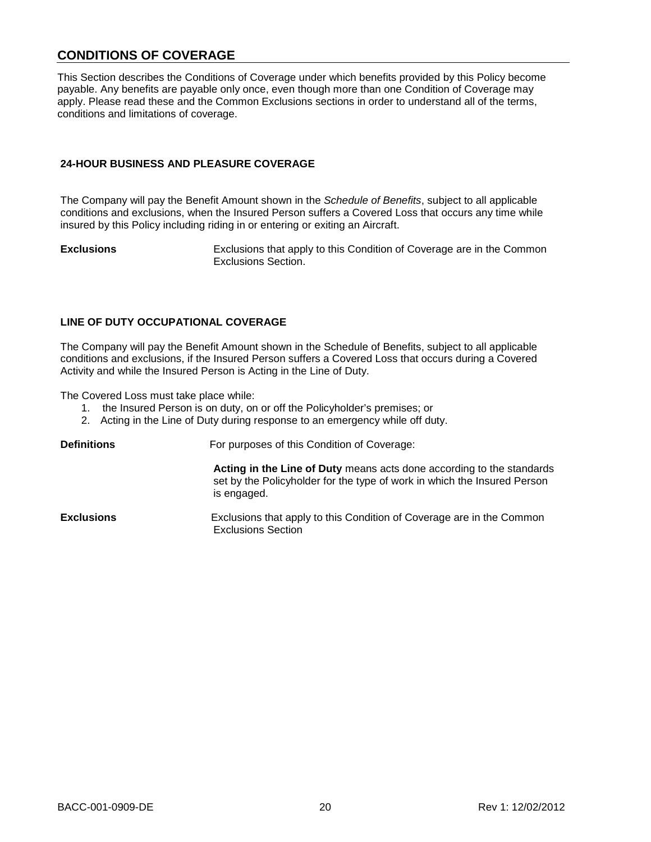### **CONDITIONS OF COVERAGE**

This Section describes the Conditions of Coverage under which benefits provided by this Policy become payable. Any benefits are payable only once, even though more than one Condition of Coverage may apply. Please read these and the Common Exclusions sections in order to understand all of the terms, conditions and limitations of coverage.

### **24-HOUR BUSINESS AND PLEASURE COVERAGE**

The Company will pay the Benefit Amount shown in the *Schedule of Benefits*, subject to all applicable conditions and exclusions, when the Insured Person suffers a Covered Loss that occurs any time while insured by this Policy including riding in or entering or exiting an Aircraft.

**Exclusions** Exclusions that apply to this Condition of Coverage are in the Common Exclusions Section.

### **LINE OF DUTY OCCUPATIONAL COVERAGE**

The Company will pay the Benefit Amount shown in the Schedule of Benefits, subject to all applicable conditions and exclusions, if the Insured Person suffers a Covered Loss that occurs during a Covered Activity and while the Insured Person is Acting in the Line of Duty.

The Covered Loss must take place while:

- 1. the Insured Person is on duty, on or off the Policyholder's premises; or
- 2. Acting in the Line of Duty during response to an emergency while off duty.

**Definitions** For purposes of this Condition of Coverage:

**Acting in the Line of Duty** means acts done according to the standards set by the Policyholder for the type of work in which the Insured Person is engaged.

**Exclusions** Exclusions that apply to this Condition of Coverage are in the Common Exclusions Section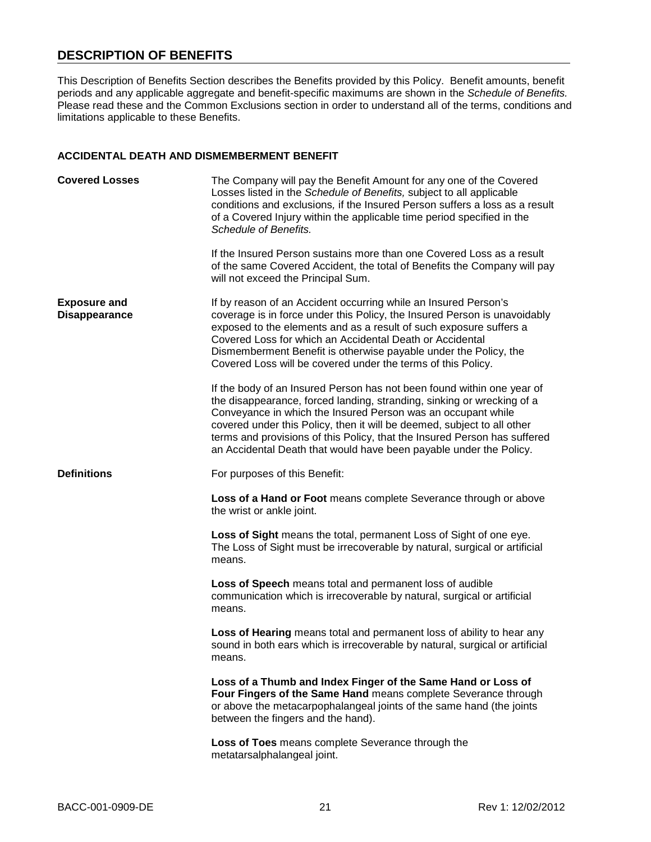### **DESCRIPTION OF BENEFITS**

This Description of Benefits Section describes the Benefits provided by this Policy. Benefit amounts, benefit periods and any applicable aggregate and benefit-specific maximums are shown in the *Schedule of Benefits.*  Please read these and the Common Exclusions section in order to understand all of the terms, conditions and limitations applicable to these Benefits.

### **ACCIDENTAL DEATH AND DISMEMBERMENT BENEFIT**

| <b>Covered Losses</b>                       | The Company will pay the Benefit Amount for any one of the Covered<br>Losses listed in the Schedule of Benefits, subject to all applicable<br>conditions and exclusions, if the Insured Person suffers a loss as a result<br>of a Covered Injury within the applicable time period specified in the<br>Schedule of Benefits.                                                                                                                   |
|---------------------------------------------|------------------------------------------------------------------------------------------------------------------------------------------------------------------------------------------------------------------------------------------------------------------------------------------------------------------------------------------------------------------------------------------------------------------------------------------------|
|                                             | If the Insured Person sustains more than one Covered Loss as a result<br>of the same Covered Accident, the total of Benefits the Company will pay<br>will not exceed the Principal Sum.                                                                                                                                                                                                                                                        |
| <b>Exposure and</b><br><b>Disappearance</b> | If by reason of an Accident occurring while an Insured Person's<br>coverage is in force under this Policy, the Insured Person is unavoidably<br>exposed to the elements and as a result of such exposure suffers a<br>Covered Loss for which an Accidental Death or Accidental<br>Dismemberment Benefit is otherwise payable under the Policy, the<br>Covered Loss will be covered under the terms of this Policy.                             |
|                                             | If the body of an Insured Person has not been found within one year of<br>the disappearance, forced landing, stranding, sinking or wrecking of a<br>Conveyance in which the Insured Person was an occupant while<br>covered under this Policy, then it will be deemed, subject to all other<br>terms and provisions of this Policy, that the Insured Person has suffered<br>an Accidental Death that would have been payable under the Policy. |
| <b>Definitions</b>                          | For purposes of this Benefit:                                                                                                                                                                                                                                                                                                                                                                                                                  |
|                                             | Loss of a Hand or Foot means complete Severance through or above<br>the wrist or ankle joint.                                                                                                                                                                                                                                                                                                                                                  |
|                                             | Loss of Sight means the total, permanent Loss of Sight of one eye.<br>The Loss of Sight must be irrecoverable by natural, surgical or artificial<br>means.                                                                                                                                                                                                                                                                                     |
|                                             | Loss of Speech means total and permanent loss of audible<br>communication which is irrecoverable by natural, surgical or artificial<br>means.                                                                                                                                                                                                                                                                                                  |
|                                             | Loss of Hearing means total and permanent loss of ability to hear any<br>sound in both ears which is irrecoverable by natural, surgical or artificial<br>means.                                                                                                                                                                                                                                                                                |
|                                             | Loss of a Thumb and Index Finger of the Same Hand or Loss of<br>Four Fingers of the Same Hand means complete Severance through<br>or above the metacarpophalangeal joints of the same hand (the joints<br>between the fingers and the hand).                                                                                                                                                                                                   |
|                                             | Loss of Toes means complete Severance through the<br>metatarsalphalangeal joint.                                                                                                                                                                                                                                                                                                                                                               |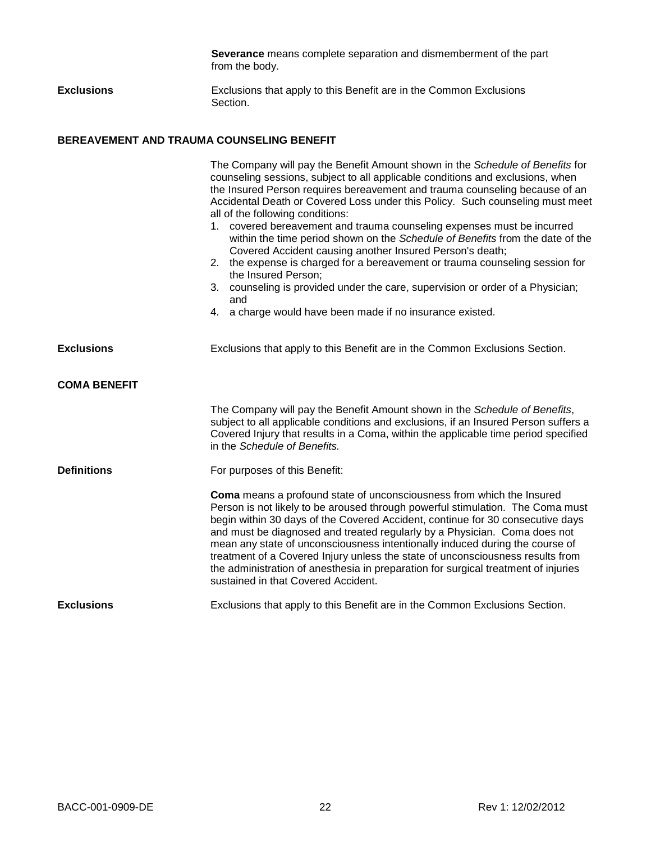**Severance** means complete separation and dismemberment of the part from the body.

**Exclusions** Exclusions that apply to this Benefit are in the Common Exclusions Section.

### **BEREAVEMENT AND TRAUMA COUNSELING BENEFIT**

|                     | The Company will pay the Benefit Amount shown in the Schedule of Benefits for<br>counseling sessions, subject to all applicable conditions and exclusions, when<br>the Insured Person requires bereavement and trauma counseling because of an<br>Accidental Death or Covered Loss under this Policy. Such counseling must meet<br>all of the following conditions:<br>1. covered bereavement and trauma counseling expenses must be incurred<br>within the time period shown on the Schedule of Benefits from the date of the<br>Covered Accident causing another Insured Person's death;<br>2. the expense is charged for a bereavement or trauma counseling session for<br>the Insured Person;<br>counseling is provided under the care, supervision or order of a Physician;<br>3.<br>and<br>4. a charge would have been made if no insurance existed. |
|---------------------|------------------------------------------------------------------------------------------------------------------------------------------------------------------------------------------------------------------------------------------------------------------------------------------------------------------------------------------------------------------------------------------------------------------------------------------------------------------------------------------------------------------------------------------------------------------------------------------------------------------------------------------------------------------------------------------------------------------------------------------------------------------------------------------------------------------------------------------------------------|
| <b>Exclusions</b>   | Exclusions that apply to this Benefit are in the Common Exclusions Section.                                                                                                                                                                                                                                                                                                                                                                                                                                                                                                                                                                                                                                                                                                                                                                                |
| <b>COMA BENEFIT</b> |                                                                                                                                                                                                                                                                                                                                                                                                                                                                                                                                                                                                                                                                                                                                                                                                                                                            |
|                     | The Company will pay the Benefit Amount shown in the Schedule of Benefits,<br>subject to all applicable conditions and exclusions, if an Insured Person suffers a<br>Covered Injury that results in a Coma, within the applicable time period specified<br>in the Schedule of Benefits.                                                                                                                                                                                                                                                                                                                                                                                                                                                                                                                                                                    |
| <b>Definitions</b>  | For purposes of this Benefit:                                                                                                                                                                                                                                                                                                                                                                                                                                                                                                                                                                                                                                                                                                                                                                                                                              |
|                     | <b>Coma</b> means a profound state of unconsciousness from which the Insured<br>Person is not likely to be aroused through powerful stimulation. The Coma must<br>begin within 30 days of the Covered Accident, continue for 30 consecutive days<br>and must be diagnosed and treated regularly by a Physician. Coma does not<br>mean any state of unconsciousness intentionally induced during the course of<br>treatment of a Covered Injury unless the state of unconsciousness results from<br>the administration of anesthesia in preparation for surgical treatment of injuries<br>sustained in that Covered Accident.                                                                                                                                                                                                                               |
| <b>Exclusions</b>   | Exclusions that apply to this Benefit are in the Common Exclusions Section.                                                                                                                                                                                                                                                                                                                                                                                                                                                                                                                                                                                                                                                                                                                                                                                |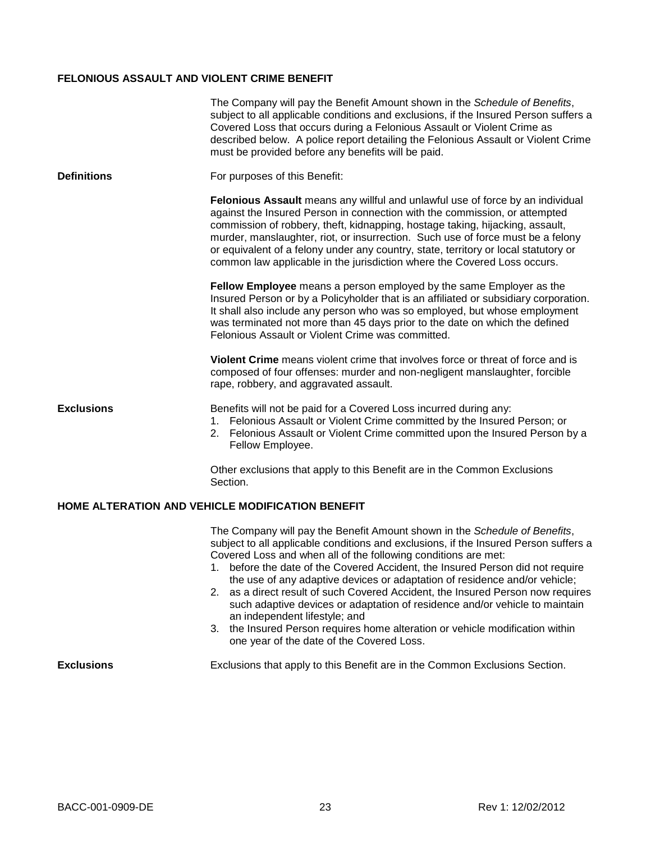### **FELONIOUS ASSAULT AND VIOLENT CRIME BENEFIT**

|                                                  | The Company will pay the Benefit Amount shown in the Schedule of Benefits,<br>subject to all applicable conditions and exclusions, if the Insured Person suffers a<br>Covered Loss that occurs during a Felonious Assault or Violent Crime as<br>described below. A police report detailing the Felonious Assault or Violent Crime<br>must be provided before any benefits will be paid.                                                                                                                                                                                                                                                                                                                                              |
|--------------------------------------------------|---------------------------------------------------------------------------------------------------------------------------------------------------------------------------------------------------------------------------------------------------------------------------------------------------------------------------------------------------------------------------------------------------------------------------------------------------------------------------------------------------------------------------------------------------------------------------------------------------------------------------------------------------------------------------------------------------------------------------------------|
| <b>Definitions</b>                               | For purposes of this Benefit:                                                                                                                                                                                                                                                                                                                                                                                                                                                                                                                                                                                                                                                                                                         |
|                                                  | Felonious Assault means any willful and unlawful use of force by an individual<br>against the Insured Person in connection with the commission, or attempted<br>commission of robbery, theft, kidnapping, hostage taking, hijacking, assault,<br>murder, manslaughter, riot, or insurrection. Such use of force must be a felony<br>or equivalent of a felony under any country, state, territory or local statutory or<br>common law applicable in the jurisdiction where the Covered Loss occurs.                                                                                                                                                                                                                                   |
|                                                  | Fellow Employee means a person employed by the same Employer as the<br>Insured Person or by a Policyholder that is an affiliated or subsidiary corporation.<br>It shall also include any person who was so employed, but whose employment<br>was terminated not more than 45 days prior to the date on which the defined<br>Felonious Assault or Violent Crime was committed.                                                                                                                                                                                                                                                                                                                                                         |
|                                                  | Violent Crime means violent crime that involves force or threat of force and is<br>composed of four offenses: murder and non-negligent manslaughter, forcible<br>rape, robbery, and aggravated assault.                                                                                                                                                                                                                                                                                                                                                                                                                                                                                                                               |
| <b>Exclusions</b>                                | Benefits will not be paid for a Covered Loss incurred during any:<br>1. Felonious Assault or Violent Crime committed by the Insured Person; or<br>Felonious Assault or Violent Crime committed upon the Insured Person by a<br>2.<br>Fellow Employee.                                                                                                                                                                                                                                                                                                                                                                                                                                                                                 |
|                                                  | Other exclusions that apply to this Benefit are in the Common Exclusions<br>Section.                                                                                                                                                                                                                                                                                                                                                                                                                                                                                                                                                                                                                                                  |
| HOME ALTERATION AND VEHICLE MODIFICATION BENEFIT |                                                                                                                                                                                                                                                                                                                                                                                                                                                                                                                                                                                                                                                                                                                                       |
|                                                  | The Company will pay the Benefit Amount shown in the Schedule of Benefits,<br>subject to all applicable conditions and exclusions, if the Insured Person suffers a<br>Covered Loss and when all of the following conditions are met:<br>before the date of the Covered Accident, the Insured Person did not require<br>the use of any adaptive devices or adaptation of residence and/or vehicle;<br>as a direct result of such Covered Accident, the Insured Person now requires<br>2.<br>such adaptive devices or adaptation of residence and/or vehicle to maintain<br>an independent lifestyle; and<br>3. the Insured Person requires home alteration or vehicle modification within<br>one year of the date of the Covered Loss. |
| <b>Exclusions</b>                                | Exclusions that apply to this Benefit are in the Common Exclusions Section.                                                                                                                                                                                                                                                                                                                                                                                                                                                                                                                                                                                                                                                           |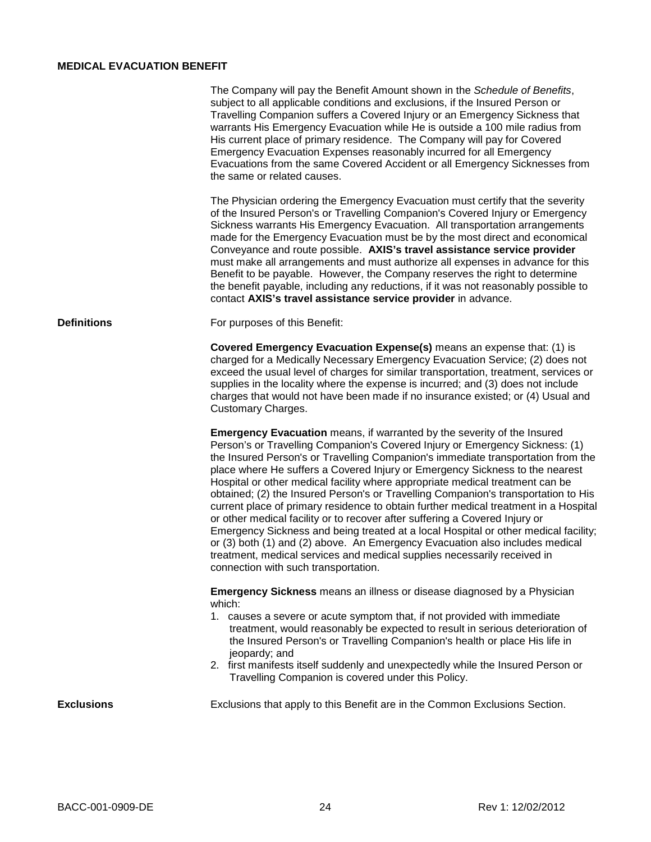### **MEDICAL EVACUATION BENEFIT**

|                    | The Company will pay the Benefit Amount shown in the Schedule of Benefits,<br>subject to all applicable conditions and exclusions, if the Insured Person or<br>Travelling Companion suffers a Covered Injury or an Emergency Sickness that<br>warrants His Emergency Evacuation while He is outside a 100 mile radius from<br>His current place of primary residence. The Company will pay for Covered<br>Emergency Evacuation Expenses reasonably incurred for all Emergency<br>Evacuations from the same Covered Accident or all Emergency Sicknesses from<br>the same or related causes.<br>The Physician ordering the Emergency Evacuation must certify that the severity<br>of the Insured Person's or Travelling Companion's Covered Injury or Emergency<br>Sickness warrants His Emergency Evacuation. All transportation arrangements<br>made for the Emergency Evacuation must be by the most direct and economical<br>Conveyance and route possible. AXIS's travel assistance service provider<br>must make all arrangements and must authorize all expenses in advance for this<br>Benefit to be payable. However, the Company reserves the right to determine<br>the benefit payable, including any reductions, if it was not reasonably possible to<br>contact AXIS's travel assistance service provider in advance. |
|--------------------|-----------------------------------------------------------------------------------------------------------------------------------------------------------------------------------------------------------------------------------------------------------------------------------------------------------------------------------------------------------------------------------------------------------------------------------------------------------------------------------------------------------------------------------------------------------------------------------------------------------------------------------------------------------------------------------------------------------------------------------------------------------------------------------------------------------------------------------------------------------------------------------------------------------------------------------------------------------------------------------------------------------------------------------------------------------------------------------------------------------------------------------------------------------------------------------------------------------------------------------------------------------------------------------------------------------------------------------|
| <b>Definitions</b> | For purposes of this Benefit:                                                                                                                                                                                                                                                                                                                                                                                                                                                                                                                                                                                                                                                                                                                                                                                                                                                                                                                                                                                                                                                                                                                                                                                                                                                                                                     |
|                    | Covered Emergency Evacuation Expense(s) means an expense that: (1) is<br>charged for a Medically Necessary Emergency Evacuation Service; (2) does not<br>exceed the usual level of charges for similar transportation, treatment, services or<br>supplies in the locality where the expense is incurred; and (3) does not include<br>charges that would not have been made if no insurance existed; or (4) Usual and<br><b>Customary Charges.</b>                                                                                                                                                                                                                                                                                                                                                                                                                                                                                                                                                                                                                                                                                                                                                                                                                                                                                 |
|                    | <b>Emergency Evacuation</b> means, if warranted by the severity of the Insured<br>Person's or Travelling Companion's Covered Injury or Emergency Sickness: (1)<br>the Insured Person's or Travelling Companion's immediate transportation from the<br>place where He suffers a Covered Injury or Emergency Sickness to the nearest<br>Hospital or other medical facility where appropriate medical treatment can be<br>obtained; (2) the Insured Person's or Travelling Companion's transportation to His<br>current place of primary residence to obtain further medical treatment in a Hospital<br>or other medical facility or to recover after suffering a Covered Injury or<br>Emergency Sickness and being treated at a local Hospital or other medical facility;<br>or (3) both (1) and (2) above. An Emergency Evacuation also includes medical<br>treatment, medical services and medical supplies necessarily received in<br>connection with such transportation.                                                                                                                                                                                                                                                                                                                                                       |
|                    | <b>Emergency Sickness</b> means an illness or disease diagnosed by a Physician<br>which:<br>1. causes a severe or acute symptom that, if not provided with immediate<br>treatment, would reasonably be expected to result in serious deterioration of                                                                                                                                                                                                                                                                                                                                                                                                                                                                                                                                                                                                                                                                                                                                                                                                                                                                                                                                                                                                                                                                             |
|                    | the Insured Person's or Travelling Companion's health or place His life in<br>jeopardy; and<br>2. first manifests itself suddenly and unexpectedly while the Insured Person or                                                                                                                                                                                                                                                                                                                                                                                                                                                                                                                                                                                                                                                                                                                                                                                                                                                                                                                                                                                                                                                                                                                                                    |
|                    | Travelling Companion is covered under this Policy.                                                                                                                                                                                                                                                                                                                                                                                                                                                                                                                                                                                                                                                                                                                                                                                                                                                                                                                                                                                                                                                                                                                                                                                                                                                                                |
| <b>Exclusions</b>  | Exclusions that apply to this Benefit are in the Common Exclusions Section.                                                                                                                                                                                                                                                                                                                                                                                                                                                                                                                                                                                                                                                                                                                                                                                                                                                                                                                                                                                                                                                                                                                                                                                                                                                       |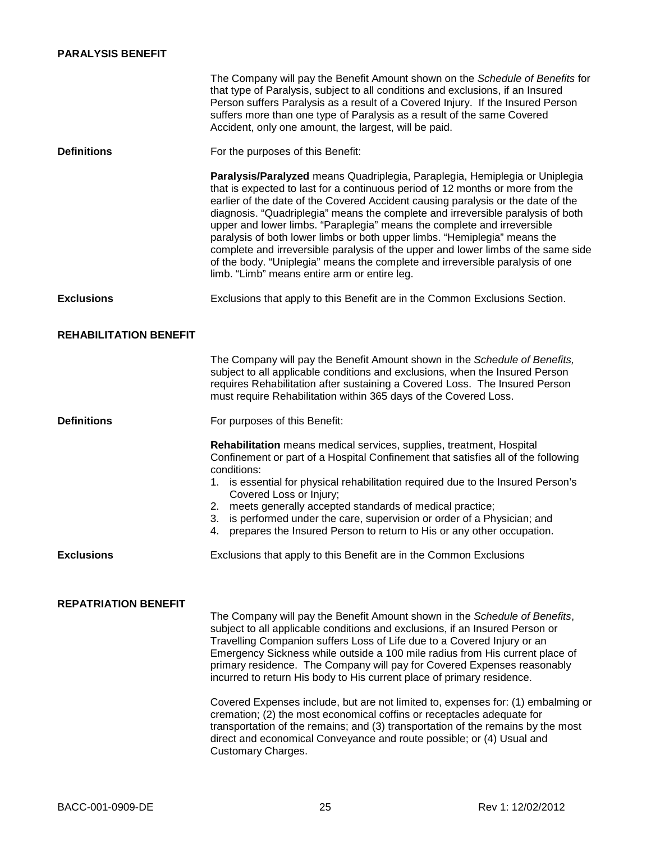|                               | The Company will pay the Benefit Amount shown on the Schedule of Benefits for<br>that type of Paralysis, subject to all conditions and exclusions, if an Insured<br>Person suffers Paralysis as a result of a Covered Injury. If the Insured Person<br>suffers more than one type of Paralysis as a result of the same Covered<br>Accident, only one amount, the largest, will be paid.                                                                                                                                                                                                                                                                                                                                                                                                                                            |
|-------------------------------|------------------------------------------------------------------------------------------------------------------------------------------------------------------------------------------------------------------------------------------------------------------------------------------------------------------------------------------------------------------------------------------------------------------------------------------------------------------------------------------------------------------------------------------------------------------------------------------------------------------------------------------------------------------------------------------------------------------------------------------------------------------------------------------------------------------------------------|
| <b>Definitions</b>            | For the purposes of this Benefit:                                                                                                                                                                                                                                                                                                                                                                                                                                                                                                                                                                                                                                                                                                                                                                                                  |
|                               | Paralysis/Paralyzed means Quadriplegia, Paraplegia, Hemiplegia or Uniplegia<br>that is expected to last for a continuous period of 12 months or more from the<br>earlier of the date of the Covered Accident causing paralysis or the date of the<br>diagnosis. "Quadriplegia" means the complete and irreversible paralysis of both<br>upper and lower limbs. "Paraplegia" means the complete and irreversible<br>paralysis of both lower limbs or both upper limbs. "Hemiplegia" means the<br>complete and irreversible paralysis of the upper and lower limbs of the same side<br>of the body. "Uniplegia" means the complete and irreversible paralysis of one<br>limb. "Limb" means entire arm or entire leg.                                                                                                                 |
| <b>Exclusions</b>             | Exclusions that apply to this Benefit are in the Common Exclusions Section.                                                                                                                                                                                                                                                                                                                                                                                                                                                                                                                                                                                                                                                                                                                                                        |
| <b>REHABILITATION BENEFIT</b> |                                                                                                                                                                                                                                                                                                                                                                                                                                                                                                                                                                                                                                                                                                                                                                                                                                    |
|                               | The Company will pay the Benefit Amount shown in the Schedule of Benefits,<br>subject to all applicable conditions and exclusions, when the Insured Person<br>requires Rehabilitation after sustaining a Covered Loss. The Insured Person<br>must require Rehabilitation within 365 days of the Covered Loss.                                                                                                                                                                                                                                                                                                                                                                                                                                                                                                                      |
| <b>Definitions</b>            | For purposes of this Benefit:                                                                                                                                                                                                                                                                                                                                                                                                                                                                                                                                                                                                                                                                                                                                                                                                      |
|                               | Rehabilitation means medical services, supplies, treatment, Hospital<br>Confinement or part of a Hospital Confinement that satisfies all of the following<br>conditions:<br>1. is essential for physical rehabilitation required due to the Insured Person's<br>Covered Loss or Injury;<br>2. meets generally accepted standards of medical practice;<br>is performed under the care, supervision or order of a Physician; and<br>3.<br>4. prepares the Insured Person to return to His or any other occupation.                                                                                                                                                                                                                                                                                                                   |
| <b>Exclusions</b>             | Exclusions that apply to this Benefit are in the Common Exclusions                                                                                                                                                                                                                                                                                                                                                                                                                                                                                                                                                                                                                                                                                                                                                                 |
|                               |                                                                                                                                                                                                                                                                                                                                                                                                                                                                                                                                                                                                                                                                                                                                                                                                                                    |
| <b>REPATRIATION BENEFIT</b>   | The Company will pay the Benefit Amount shown in the Schedule of Benefits,<br>subject to all applicable conditions and exclusions, if an Insured Person or<br>Travelling Companion suffers Loss of Life due to a Covered Injury or an<br>Emergency Sickness while outside a 100 mile radius from His current place of<br>primary residence. The Company will pay for Covered Expenses reasonably<br>incurred to return His body to His current place of primary residence.<br>Covered Expenses include, but are not limited to, expenses for: (1) embalming or<br>cremation; (2) the most economical coffins or receptacles adequate for<br>transportation of the remains; and (3) transportation of the remains by the most<br>direct and economical Conveyance and route possible; or (4) Usual and<br><b>Customary Charges.</b> |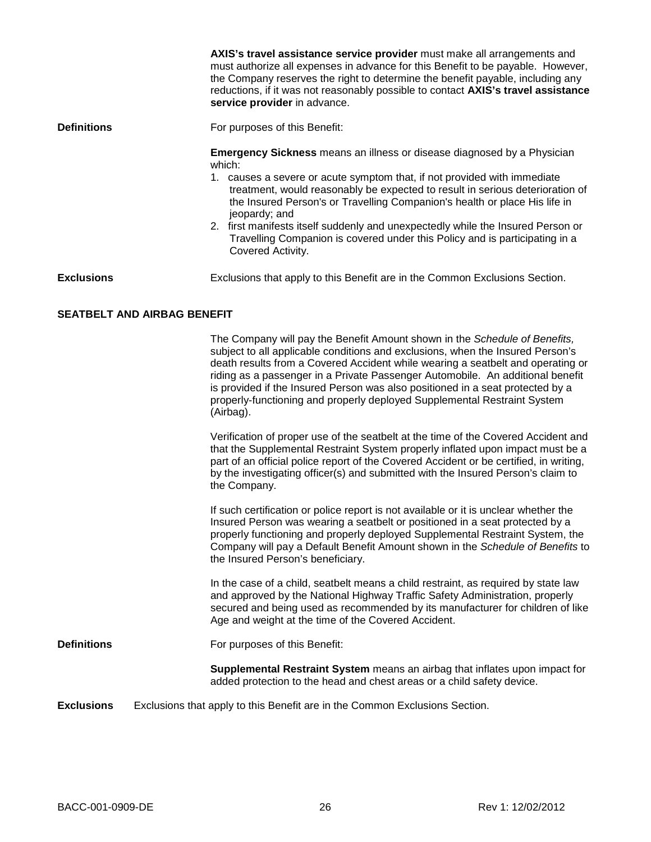|                                    | AXIS's travel assistance service provider must make all arrangements and<br>must authorize all expenses in advance for this Benefit to be payable. However,<br>the Company reserves the right to determine the benefit payable, including any<br>reductions, if it was not reasonably possible to contact AXIS's travel assistance<br>service provider in advance.                                                                                                                                                                          |
|------------------------------------|---------------------------------------------------------------------------------------------------------------------------------------------------------------------------------------------------------------------------------------------------------------------------------------------------------------------------------------------------------------------------------------------------------------------------------------------------------------------------------------------------------------------------------------------|
| <b>Definitions</b>                 | For purposes of this Benefit:                                                                                                                                                                                                                                                                                                                                                                                                                                                                                                               |
|                                    | <b>Emergency Sickness</b> means an illness or disease diagnosed by a Physician<br>which:<br>1. causes a severe or acute symptom that, if not provided with immediate<br>treatment, would reasonably be expected to result in serious deterioration of<br>the Insured Person's or Travelling Companion's health or place His life in<br>jeopardy; and<br>2. first manifests itself suddenly and unexpectedly while the Insured Person or<br>Travelling Companion is covered under this Policy and is participating in a<br>Covered Activity. |
| <b>Exclusions</b>                  | Exclusions that apply to this Benefit are in the Common Exclusions Section.                                                                                                                                                                                                                                                                                                                                                                                                                                                                 |
| <b>SEATBELT AND AIRBAG BENEFIT</b> |                                                                                                                                                                                                                                                                                                                                                                                                                                                                                                                                             |
|                                    | The Company will pay the Benefit Amount shown in the Schedule of Benefits,<br>subject to all applicable conditions and exclusions, when the Insured Person's<br>death results from a Covered Accident while wearing a seatbelt and operating or<br>riding as a passenger in a Private Passenger Automobile. An additional benefit<br>is provided if the Insured Person was also positioned in a seat protected by a<br>properly-functioning and properly deployed Supplemental Restraint System<br>(Airbag).                                |
|                                    | Verification of proper use of the seatbelt at the time of the Covered Accident and<br>that the Supplemental Restraint System properly inflated upon impact must be a<br>part of an official police report of the Covered Accident or be certified, in writing,<br>by the investigating officer(s) and submitted with the Insured Person's claim to<br>the Company.                                                                                                                                                                          |
|                                    | If such certification or police report is not available or it is unclear whether the<br>Insured Person was wearing a seatbelt or positioned in a seat protected by a<br>properly functioning and properly deployed Supplemental Restraint System, the<br>Company will pay a Default Benefit Amount shown in the Schedule of Benefits to<br>the Insured Person's beneficiary.                                                                                                                                                                |
|                                    | In the case of a child, seatbelt means a child restraint, as required by state law<br>and approved by the National Highway Traffic Safety Administration, properly<br>secured and being used as recommended by its manufacturer for children of like<br>Age and weight at the time of the Covered Accident.                                                                                                                                                                                                                                 |
| <b>Definitions</b>                 | For purposes of this Benefit:                                                                                                                                                                                                                                                                                                                                                                                                                                                                                                               |
|                                    | Supplemental Restraint System means an airbag that inflates upon impact for                                                                                                                                                                                                                                                                                                                                                                                                                                                                 |

**Exclusions** Exclusions that apply to this Benefit are in the Common Exclusions Section.

added protection to the head and chest areas or a child safety device.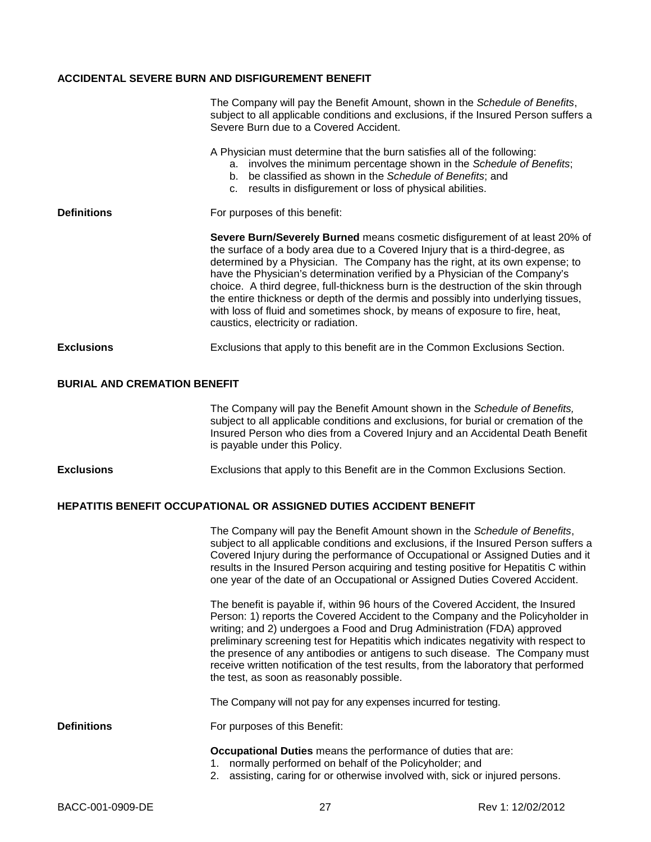### **ACCIDENTAL SEVERE BURN AND DISFIGUREMENT BENEFIT**

|                                                                    | The Company will pay the Benefit Amount, shown in the Schedule of Benefits,<br>subject to all applicable conditions and exclusions, if the Insured Person suffers a<br>Severe Burn due to a Covered Accident.                                                                                                                                                                                                                                                                                                                                                                                                                |
|--------------------------------------------------------------------|------------------------------------------------------------------------------------------------------------------------------------------------------------------------------------------------------------------------------------------------------------------------------------------------------------------------------------------------------------------------------------------------------------------------------------------------------------------------------------------------------------------------------------------------------------------------------------------------------------------------------|
|                                                                    | A Physician must determine that the burn satisfies all of the following:<br>a. involves the minimum percentage shown in the Schedule of Benefits;<br>b. be classified as shown in the Schedule of Benefits; and<br>c. results in disfigurement or loss of physical abilities.                                                                                                                                                                                                                                                                                                                                                |
| <b>Definitions</b>                                                 | For purposes of this benefit:                                                                                                                                                                                                                                                                                                                                                                                                                                                                                                                                                                                                |
|                                                                    | Severe Burn/Severely Burned means cosmetic disfigurement of at least 20% of<br>the surface of a body area due to a Covered Injury that is a third-degree, as<br>determined by a Physician. The Company has the right, at its own expense; to<br>have the Physician's determination verified by a Physician of the Company's<br>choice. A third degree, full-thickness burn is the destruction of the skin through<br>the entire thickness or depth of the dermis and possibly into underlying tissues,<br>with loss of fluid and sometimes shock, by means of exposure to fire, heat,<br>caustics, electricity or radiation. |
| <b>Exclusions</b>                                                  | Exclusions that apply to this benefit are in the Common Exclusions Section.                                                                                                                                                                                                                                                                                                                                                                                                                                                                                                                                                  |
| <b>BURIAL AND CREMATION BENEFIT</b>                                |                                                                                                                                                                                                                                                                                                                                                                                                                                                                                                                                                                                                                              |
|                                                                    | The Company will pay the Benefit Amount shown in the Schedule of Benefits,<br>subject to all applicable conditions and exclusions, for burial or cremation of the<br>Insured Person who dies from a Covered Injury and an Accidental Death Benefit<br>is payable under this Policy.                                                                                                                                                                                                                                                                                                                                          |
| <b>Exclusions</b>                                                  | Exclusions that apply to this Benefit are in the Common Exclusions Section.                                                                                                                                                                                                                                                                                                                                                                                                                                                                                                                                                  |
| HEPATITIS BENEFIT OCCUPATIONAL OR ASSIGNED DUTIES ACCIDENT BENEFIT |                                                                                                                                                                                                                                                                                                                                                                                                                                                                                                                                                                                                                              |
|                                                                    | The Company will pay the Benefit Amount shown in the Schedule of Benefits,<br>subject to all applicable conditions and exclusions, if the Insured Person suffers a<br>Covered Injury during the performance of Occupational or Assigned Duties and it                                                                                                                                                                                                                                                                                                                                                                        |

results in the Insured Person acquiring and testing positive for Hepatitis C within one year of the date of an Occupational or Assigned Duties Covered Accident. The benefit is payable if, within 96 hours of the Covered Accident, the Insured Person: 1) reports the Covered Accident to the Company and the Policyholder in writing; and 2) undergoes a Food and Drug Administration (FDA) approved

preliminary screening test for Hepatitis which indicates negativity with respect to the presence of any antibodies or antigens to such disease. The Company must receive written notification of the test results, from the laboratory that performed the test, as soon as reasonably possible.

The Company will not pay for any expenses incurred for testing.

#### **Definitions** For purposes of this Benefit:

**Occupational Duties** means the performance of duties that are:

- 1. normally performed on behalf of the Policyholder; and
- 2. assisting, caring for or otherwise involved with, sick or injured persons.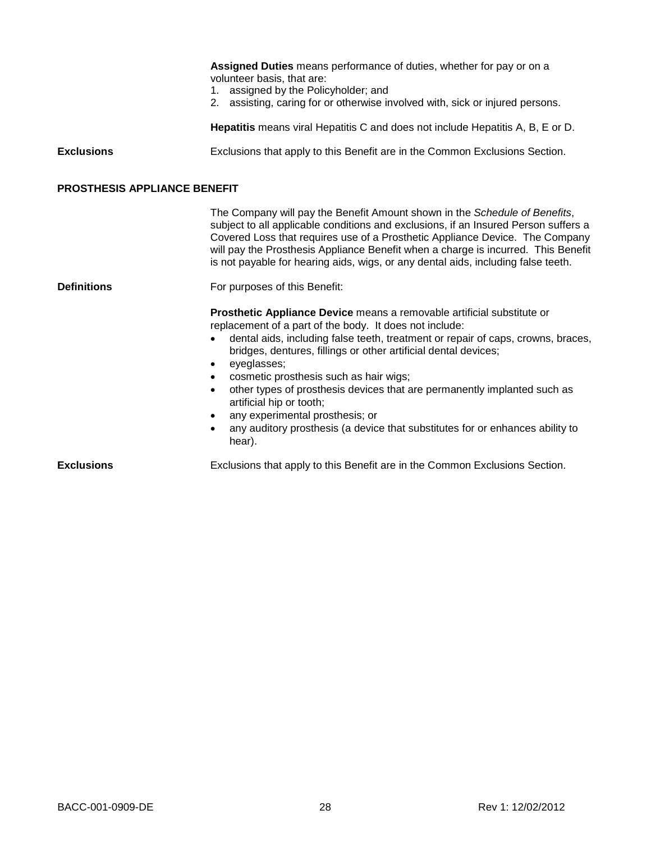|                                     | Assigned Duties means performance of duties, whether for pay or on a<br>volunteer basis, that are:<br>1. assigned by the Policyholder; and<br>2. assisting, caring for or otherwise involved with, sick or injured persons.                                                                                                                                                                                                                                                                                                                                                             |
|-------------------------------------|-----------------------------------------------------------------------------------------------------------------------------------------------------------------------------------------------------------------------------------------------------------------------------------------------------------------------------------------------------------------------------------------------------------------------------------------------------------------------------------------------------------------------------------------------------------------------------------------|
|                                     | Hepatitis means viral Hepatitis C and does not include Hepatitis A, B, E or D.                                                                                                                                                                                                                                                                                                                                                                                                                                                                                                          |
| <b>Exclusions</b>                   | Exclusions that apply to this Benefit are in the Common Exclusions Section.                                                                                                                                                                                                                                                                                                                                                                                                                                                                                                             |
| <b>PROSTHESIS APPLIANCE BENEFIT</b> |                                                                                                                                                                                                                                                                                                                                                                                                                                                                                                                                                                                         |
|                                     | The Company will pay the Benefit Amount shown in the Schedule of Benefits,<br>subject to all applicable conditions and exclusions, if an Insured Person suffers a<br>Covered Loss that requires use of a Prosthetic Appliance Device. The Company<br>will pay the Prosthesis Appliance Benefit when a charge is incurred. This Benefit<br>is not payable for hearing aids, wigs, or any dental aids, including false teeth.                                                                                                                                                             |
| <b>Definitions</b>                  | For purposes of this Benefit:                                                                                                                                                                                                                                                                                                                                                                                                                                                                                                                                                           |
|                                     | Prosthetic Appliance Device means a removable artificial substitute or<br>replacement of a part of the body. It does not include:<br>dental aids, including false teeth, treatment or repair of caps, crowns, braces,<br>bridges, dentures, fillings or other artificial dental devices;<br>eyeglasses;<br>cosmetic prosthesis such as hair wigs;<br>other types of prosthesis devices that are permanently implanted such as<br>artificial hip or tooth;<br>any experimental prosthesis; or<br>any auditory prosthesis (a device that substitutes for or enhances ability to<br>hear). |
| <b>Exclusions</b>                   | Exclusions that apply to this Benefit are in the Common Exclusions Section.                                                                                                                                                                                                                                                                                                                                                                                                                                                                                                             |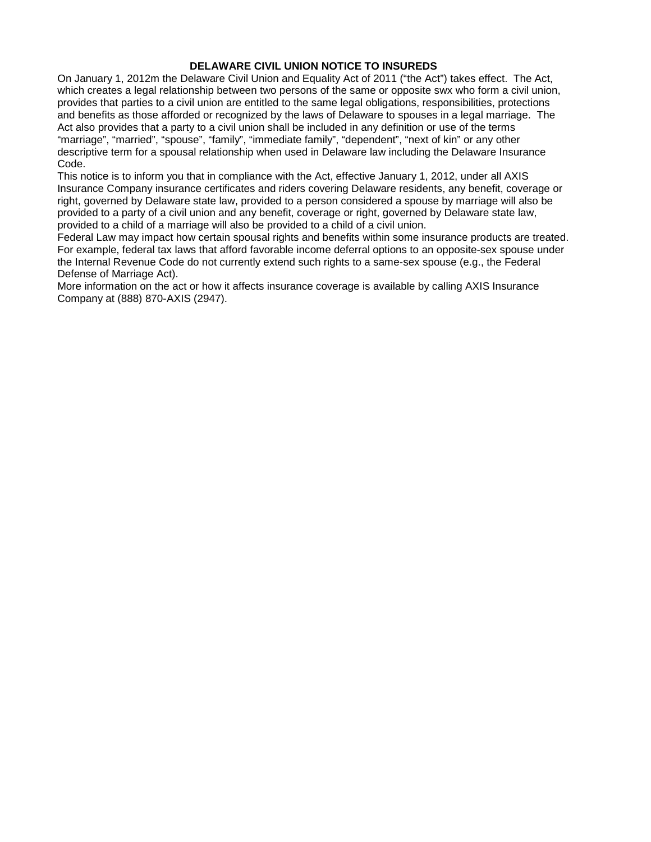### **DELAWARE CIVIL UNION NOTICE TO INSUREDS**

On January 1, 2012m the Delaware Civil Union and Equality Act of 2011 ("the Act") takes effect. The Act, which creates a legal relationship between two persons of the same or opposite swx who form a civil union, provides that parties to a civil union are entitled to the same legal obligations, responsibilities, protections and benefits as those afforded or recognized by the laws of Delaware to spouses in a legal marriage. The Act also provides that a party to a civil union shall be included in any definition or use of the terms "marriage", "married", "spouse", "family", "immediate family", "dependent", "next of kin" or any other descriptive term for a spousal relationship when used in Delaware law including the Delaware Insurance Code.

This notice is to inform you that in compliance with the Act, effective January 1, 2012, under all AXIS Insurance Company insurance certificates and riders covering Delaware residents, any benefit, coverage or right, governed by Delaware state law, provided to a person considered a spouse by marriage will also be provided to a party of a civil union and any benefit, coverage or right, governed by Delaware state law, provided to a child of a marriage will also be provided to a child of a civil union.

Federal Law may impact how certain spousal rights and benefits within some insurance products are treated. For example, federal tax laws that afford favorable income deferral options to an opposite-sex spouse under the Internal Revenue Code do not currently extend such rights to a same-sex spouse (e.g., the Federal Defense of Marriage Act).

More information on the act or how it affects insurance coverage is available by calling AXIS Insurance Company at (888) 870-AXIS (2947).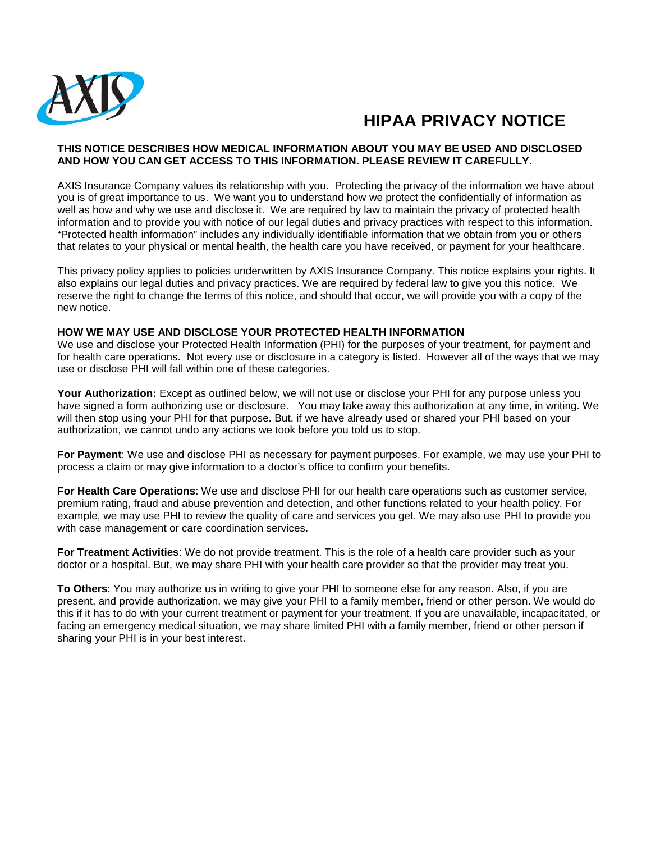

# **HIPAA PRIVACY NOTICE**

### **THIS NOTICE DESCRIBES HOW MEDICAL INFORMATION ABOUT YOU MAY BE USED AND DISCLOSED AND HOW YOU CAN GET ACCESS TO THIS INFORMATION. PLEASE REVIEW IT CAREFULLY.**

AXIS Insurance Company values its relationship with you. Protecting the privacy of the information we have about you is of great importance to us. We want you to understand how we protect the confidentially of information as well as how and why we use and disclose it. We are required by law to maintain the privacy of protected health information and to provide you with notice of our legal duties and privacy practices with respect to this information. "Protected health information" includes any individually identifiable information that we obtain from you or others that relates to your physical or mental health, the health care you have received, or payment for your healthcare.

This privacy policy applies to policies underwritten by AXIS Insurance Company. This notice explains your rights. It also explains our legal duties and privacy practices. We are required by federal law to give you this notice. We reserve the right to change the terms of this notice, and should that occur, we will provide you with a copy of the new notice.

### **HOW WE MAY USE AND DISCLOSE YOUR PROTECTED HEALTH INFORMATION**

We use and disclose your Protected Health Information (PHI) for the purposes of your treatment, for payment and for health care operations. Not every use or disclosure in a category is listed. However all of the ways that we may use or disclose PHI will fall within one of these categories.

**Your Authorization:** Except as outlined below, we will not use or disclose your PHI for any purpose unless you have signed a form authorizing use or disclosure. You may take away this authorization at any time, in writing. We will then stop using your PHI for that purpose. But, if we have already used or shared your PHI based on your authorization, we cannot undo any actions we took before you told us to stop.

**For Payment**: We use and disclose PHI as necessary for payment purposes. For example, we may use your PHI to process a claim or may give information to a doctor's office to confirm your benefits.

**For Health Care Operations**: We use and disclose PHI for our health care operations such as customer service, premium rating, fraud and abuse prevention and detection, and other functions related to your health policy. For example, we may use PHI to review the quality of care and services you get. We may also use PHI to provide you with case management or care coordination services.

**For Treatment Activities**: We do not provide treatment. This is the role of a health care provider such as your doctor or a hospital. But, we may share PHI with your health care provider so that the provider may treat you.

**To Others**: You may authorize us in writing to give your PHI to someone else for any reason. Also, if you are present, and provide authorization, we may give your PHI to a family member, friend or other person. We would do this if it has to do with your current treatment or payment for your treatment. If you are unavailable, incapacitated, or facing an emergency medical situation, we may share limited PHI with a family member, friend or other person if sharing your PHI is in your best interest.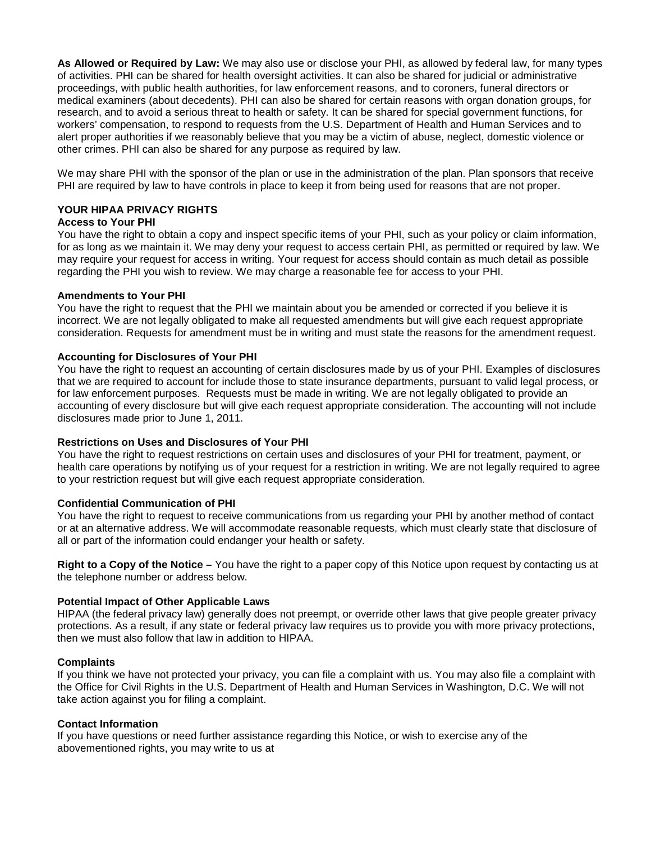**As Allowed or Required by Law:** We may also use or disclose your PHI, as allowed by federal law, for many types of activities. PHI can be shared for health oversight activities. It can also be shared for judicial or administrative proceedings, with public health authorities, for law enforcement reasons, and to coroners, funeral directors or medical examiners (about decedents). PHI can also be shared for certain reasons with organ donation groups, for research, and to avoid a serious threat to health or safety. It can be shared for special government functions, for workers' compensation, to respond to requests from the U.S. Department of Health and Human Services and to alert proper authorities if we reasonably believe that you may be a victim of abuse, neglect, domestic violence or other crimes. PHI can also be shared for any purpose as required by law.

We may share PHI with the sponsor of the plan or use in the administration of the plan. Plan sponsors that receive PHI are required by law to have controls in place to keep it from being used for reasons that are not proper.

### **YOUR HIPAA PRIVACY RIGHTS**

### **Access to Your PHI**

You have the right to obtain a copy and inspect specific items of your PHI, such as your policy or claim information, for as long as we maintain it. We may deny your request to access certain PHI, as permitted or required by law. We may require your request for access in writing. Your request for access should contain as much detail as possible regarding the PHI you wish to review. We may charge a reasonable fee for access to your PHI.

### **Amendments to Your PHI**

You have the right to request that the PHI we maintain about you be amended or corrected if you believe it is incorrect. We are not legally obligated to make all requested amendments but will give each request appropriate consideration. Requests for amendment must be in writing and must state the reasons for the amendment request.

### **Accounting for Disclosures of Your PHI**

You have the right to request an accounting of certain disclosures made by us of your PHI. Examples of disclosures that we are required to account for include those to state insurance departments, pursuant to valid legal process, or for law enforcement purposes. Requests must be made in writing. We are not legally obligated to provide an accounting of every disclosure but will give each request appropriate consideration. The accounting will not include disclosures made prior to June 1, 2011.

### **Restrictions on Uses and Disclosures of Your PHI**

You have the right to request restrictions on certain uses and disclosures of your PHI for treatment, payment, or health care operations by notifying us of your request for a restriction in writing. We are not legally required to agree to your restriction request but will give each request appropriate consideration.

### **Confidential Communication of PHI**

You have the right to request to receive communications from us regarding your PHI by another method of contact or at an alternative address. We will accommodate reasonable requests, which must clearly state that disclosure of all or part of the information could endanger your health or safety.

**Right to a Copy of the Notice –** You have the right to a paper copy of this Notice upon request by contacting us at the telephone number or address below.

### **Potential Impact of Other Applicable Laws**

HIPAA (the federal privacy law) generally does not preempt, or override other laws that give people greater privacy protections. As a result, if any state or federal privacy law requires us to provide you with more privacy protections, then we must also follow that law in addition to HIPAA.

### **Complaints**

If you think we have not protected your privacy, you can file a complaint with us. You may also file a complaint with the Office for Civil Rights in the U.S. Department of Health and Human Services in Washington, D.C. We will not take action against you for filing a complaint.

### **Contact Information**

If you have questions or need further assistance regarding this Notice, or wish to exercise any of the abovementioned rights, you may write to us at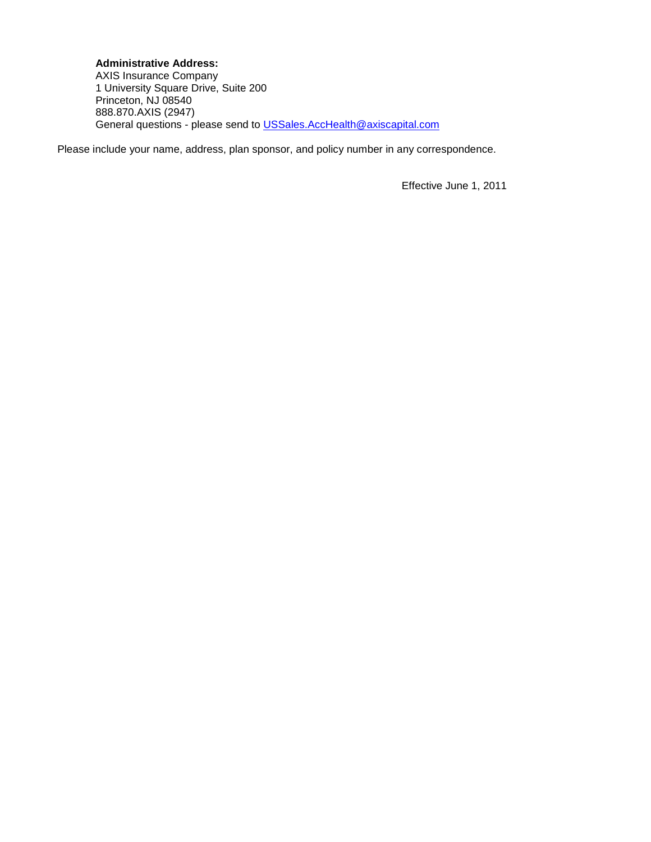### **Administrative Address:**

AXIS Insurance Company 1 University Square Drive, Suite 200 Princeton, NJ 08540 888.870.AXIS (2947) General questions - please send to [USSales.AccHealth@axiscapital.com](mailto:USSales.AccHealth@axiscapital.com)

Please include your name, address, plan sponsor, and policy number in any correspondence.

Effective June 1, 2011